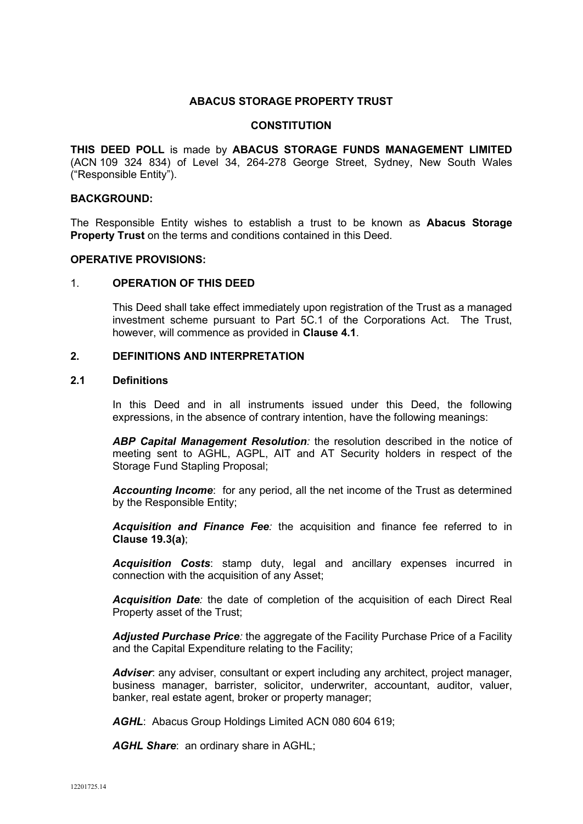### **ABACUS STORAGE PROPERTY TRUST**

#### **CONSTITUTION**

**THIS DEED POLL** is made by **ABACUS STORAGE FUNDS MANAGEMENT LIMITED**  (ACN 109 324 834) of Level 34, 264-278 George Street, Sydney, New South Wales ("Responsible Entity").

### **BACKGROUND:**

The Responsible Entity wishes to establish a trust to be known as **Abacus Storage Property Trust** on the terms and conditions contained in this Deed.

#### **OPERATIVE PROVISIONS:**

#### 1. **OPERATION OF THIS DEED**

This Deed shall take effect immediately upon registration of the Trust as a managed investment scheme pursuant to Part 5C.1 of the Corporations Act. The Trust, however, will commence as provided in **Clause 4.1**.

## **2. DEFINITIONS AND INTERPRETATION**

### **2.1 Definitions**

In this Deed and in all instruments issued under this Deed, the following expressions, in the absence of contrary intention, have the following meanings:

*ABP Capital Management Resolution:* the resolution described in the notice of meeting sent to AGHL, AGPL, AIT and AT Security holders in respect of the Storage Fund Stapling Proposal;

*Accounting Income*: for any period, all the net income of the Trust as determined by the Responsible Entity;

*Acquisition and Finance Fee:* the acquisition and finance fee referred to in **Clause 19.3(a)**;

*Acquisition Costs*: stamp duty, legal and ancillary expenses incurred in connection with the acquisition of any Asset;

*Acquisition Date:* the date of completion of the acquisition of each Direct Real Property asset of the Trust;

*Adjusted Purchase Price:* the aggregate of the Facility Purchase Price of a Facility and the Capital Expenditure relating to the Facility;

*Adviser*: any adviser, consultant or expert including any architect, project manager, business manager, barrister, solicitor, underwriter, accountant, auditor, valuer, banker, real estate agent, broker or property manager;

*AGHL*: Abacus Group Holdings Limited ACN 080 604 619;

*AGHL Share*: an ordinary share in AGHL;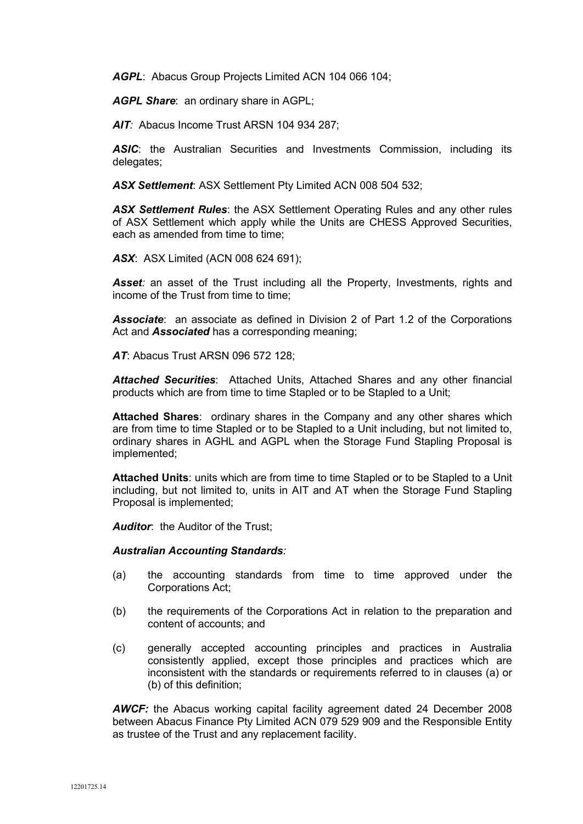*AGPL*: Abacus Group Projects Limited ACN 104 066 104;

*AGPL Share*: an ordinary share in AGPL;

*AIT:* Abacus Income Trust ARSN 104 934 287;

*ASIC*: the Australian Securities and Investments Commission, including its delegates:

*ASX Settlement*: ASX Settlement Pty Limited ACN 008 504 532;

*ASX Settlement Rules*: the ASX Settlement Operating Rules and any other rules of ASX Settlement which apply while the Units are CHESS Approved Securities, each as amended from time to time:

*ASX*: ASX Limited (ACN 008 624 691);

Asset: an asset of the Trust including all the Property, Investments, rights and income of the Trust from time to time:

*Associate*: an associate as defined in Division 2 of Part 1.2 of the Corporations Act and *Associated* has a corresponding meaning;

*AT*: Abacus Trust ARSN 096 572 128;

*Attached Securities*: Attached Units, Attached Shares and any other financial products which are from time to time Stapled or to be Stapled to a Unit;

**Attached Shares**: ordinary shares in the Company and any other shares which are from time to time Stapled or to be Stapled to a Unit including, but not limited to, ordinary shares in AGHL and AGPL when the Storage Fund Stapling Proposal is implemented;

**Attached Units**: units which are from time to time Stapled or to be Stapled to a Unit including, but not limited to, units in AIT and AT when the Storage Fund Stapling Proposal is implemented;

*Auditor*: the Auditor of the Trust;

#### *Australian Accounting Standards:*

- (a) the accounting standards from time to time approved under the Corporations Act;
- (b) the requirements of the Corporations Act in relation to the preparation and content of accounts; and
- (c) generally accepted accounting principles and practices in Australia consistently applied, except those principles and practices which are inconsistent with the standards or requirements referred to in clauses (a) or (b) of this definition;

*AWCF:* the Abacus working capital facility agreement dated 24 December 2008 between Abacus Finance Pty Limited ACN 079 529 909 and the Responsible Entity as trustee of the Trust and any replacement facility.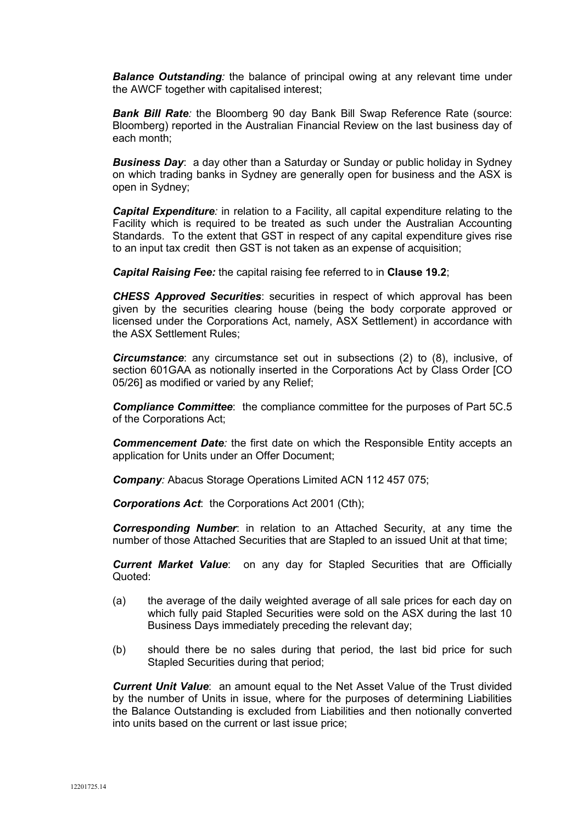*Balance Outstanding:* the balance of principal owing at any relevant time under the AWCF together with capitalised interest;

*Bank Bill Rate:* the Bloomberg 90 day Bank Bill Swap Reference Rate (source: Bloomberg) reported in the Australian Financial Review on the last business day of each month;

*Business Day*: a day other than a Saturday or Sunday or public holiday in Sydney on which trading banks in Sydney are generally open for business and the ASX is open in Sydney;

*Capital Expenditure:* in relation to a Facility, all capital expenditure relating to the Facility which is required to be treated as such under the Australian Accounting Standards. To the extent that GST in respect of any capital expenditure gives rise to an input tax credit then GST is not taken as an expense of acquisition;

*Capital Raising Fee:* the capital raising fee referred to in **Clause 19.2**;

*CHESS Approved Securities*: securities in respect of which approval has been given by the securities clearing house (being the body corporate approved or licensed under the Corporations Act, namely, ASX Settlement) in accordance with the ASX Settlement Rules;

*Circumstance*: any circumstance set out in subsections (2) to (8), inclusive, of section 601GAA as notionally inserted in the Corporations Act by Class Order [CO 05/26] as modified or varied by any Relief;

*Compliance Committee*: the compliance committee for the purposes of Part 5C.5 of the Corporations Act;

*Commencement Date:* the first date on which the Responsible Entity accepts an application for Units under an Offer Document;

*Company:* Abacus Storage Operations Limited ACN 112 457 075;

*Corporations Act*: the Corporations Act 2001 (Cth);

*Corresponding Number*: in relation to an Attached Security, at any time the number of those Attached Securities that are Stapled to an issued Unit at that time;

*Current Market Value*: on any day for Stapled Securities that are Officially Quoted:

- (a) the average of the daily weighted average of all sale prices for each day on which fully paid Stapled Securities were sold on the ASX during the last 10 Business Days immediately preceding the relevant day;
- (b) should there be no sales during that period, the last bid price for such Stapled Securities during that period;

*Current Unit Value*: an amount equal to the Net Asset Value of the Trust divided by the number of Units in issue, where for the purposes of determining Liabilities the Balance Outstanding is excluded from Liabilities and then notionally converted into units based on the current or last issue price;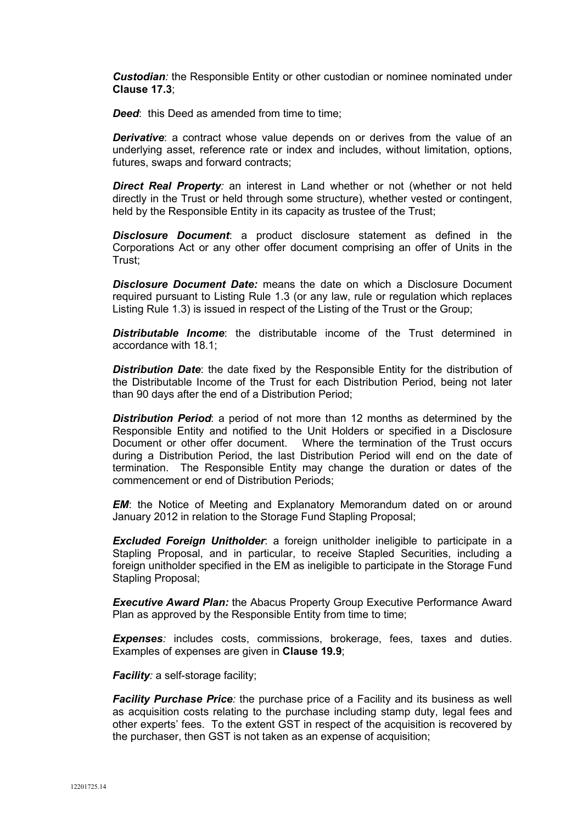*Custodian:* the Responsible Entity or other custodian or nominee nominated under **Clause 17.3**;

**Deed:** this Deed as amended from time to time:

**Derivative:** a contract whose value depends on or derives from the value of an underlying asset, reference rate or index and includes, without limitation, options, futures, swaps and forward contracts;

*Direct Real Property:* an interest in Land whether or not (whether or not held directly in the Trust or held through some structure), whether vested or contingent, held by the Responsible Entity in its capacity as trustee of the Trust;

*Disclosure Document*: a product disclosure statement as defined in the Corporations Act or any other offer document comprising an offer of Units in the Trust;

*Disclosure Document Date:* means the date on which a Disclosure Document required pursuant to Listing Rule 1.3 (or any law, rule or regulation which replaces Listing Rule 1.3) is issued in respect of the Listing of the Trust or the Group;

*Distributable Income*: the distributable income of the Trust determined in accordance with 18.1;

*Distribution Date*: the date fixed by the Responsible Entity for the distribution of the Distributable Income of the Trust for each Distribution Period, being not later than 90 days after the end of a Distribution Period;

*Distribution Period*: a period of not more than 12 months as determined by the Responsible Entity and notified to the Unit Holders or specified in a Disclosure<br>Document or other offer document. Where the termination of the Trust occurs Where the termination of the Trust occurs. during a Distribution Period, the last Distribution Period will end on the date of termination. The Responsible Entity may change the duration or dates of the commencement or end of Distribution Periods;

*EM*: the Notice of Meeting and Explanatory Memorandum dated on or around January 2012 in relation to the Storage Fund Stapling Proposal;

*Excluded Foreign Unitholder*: a foreign unitholder ineligible to participate in a Stapling Proposal, and in particular, to receive Stapled Securities, including a foreign unitholder specified in the EM as ineligible to participate in the Storage Fund Stapling Proposal;

*Executive Award Plan:* the Abacus Property Group Executive Performance Award Plan as approved by the Responsible Entity from time to time;

*Expenses:* includes costs, commissions, brokerage, fees, taxes and duties. Examples of expenses are given in **Clause 19.9**;

*Facility:* a self-storage facility;

*Facility Purchase Price:* the purchase price of a Facility and its business as well as acquisition costs relating to the purchase including stamp duty, legal fees and other experts' fees. To the extent GST in respect of the acquisition is recovered by the purchaser, then GST is not taken as an expense of acquisition;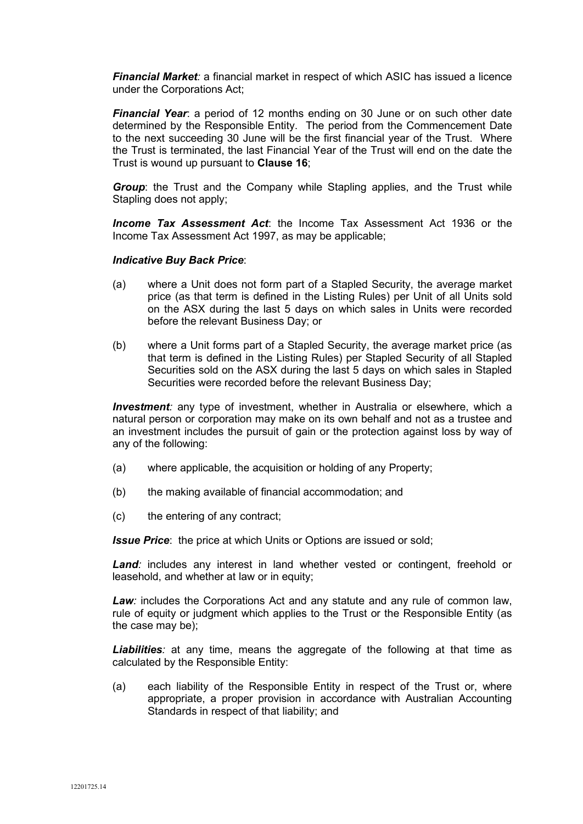*Financial Market:* a financial market in respect of which ASIC has issued a licence under the Corporations Act;

*Financial Year: a period of 12 months ending on 30 June or on such other date* determined by the Responsible Entity. The period from the Commencement Date to the next succeeding 30 June will be the first financial year of the Trust. Where the Trust is terminated, the last Financial Year of the Trust will end on the date the Trust is wound up pursuant to **Clause 16**;

*Group*: the Trust and the Company while Stapling applies, and the Trust while Stapling does not apply;

*Income Tax Assessment Act*: the Income Tax Assessment Act 1936 or the Income Tax Assessment Act 1997, as may be applicable;

#### *Indicative Buy Back Price*:

- (a) where a Unit does not form part of a Stapled Security, the average market price (as that term is defined in the Listing Rules) per Unit of all Units sold on the ASX during the last 5 days on which sales in Units were recorded before the relevant Business Day; or
- (b) where a Unit forms part of a Stapled Security, the average market price (as that term is defined in the Listing Rules) per Stapled Security of all Stapled Securities sold on the ASX during the last 5 days on which sales in Stapled Securities were recorded before the relevant Business Day;

*Investment*: any type of investment, whether in Australia or elsewhere, which a natural person or corporation may make on its own behalf and not as a trustee and an investment includes the pursuit of gain or the protection against loss by way of any of the following:

- (a) where applicable, the acquisition or holding of any Property;
- (b) the making available of financial accommodation; and
- (c) the entering of any contract;

**Issue Price:** the price at which Units or Options are issued or sold;

*Land:* includes any interest in land whether vested or contingent, freehold or leasehold, and whether at law or in equity;

*Law:* includes the Corporations Act and any statute and any rule of common law, rule of equity or judgment which applies to the Trust or the Responsible Entity (as the case may be);

*Liabilities:* at any time, means the aggregate of the following at that time as calculated by the Responsible Entity:

(a) each liability of the Responsible Entity in respect of the Trust or, where appropriate, a proper provision in accordance with Australian Accounting Standards in respect of that liability; and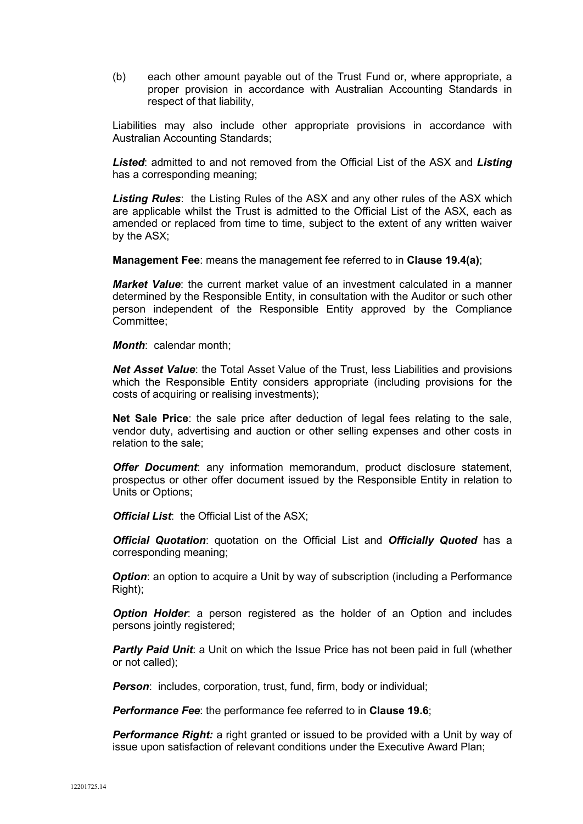(b) each other amount payable out of the Trust Fund or, where appropriate, a proper provision in accordance with Australian Accounting Standards in respect of that liability,

Liabilities may also include other appropriate provisions in accordance with Australian Accounting Standards;

*Listed*: admitted to and not removed from the Official List of the ASX and *Listing* has a corresponding meaning;

*Listing Rules*: the Listing Rules of the ASX and any other rules of the ASX which are applicable whilst the Trust is admitted to the Official List of the ASX, each as amended or replaced from time to time, subject to the extent of any written waiver by the ASX;

**Management Fee**: means the management fee referred to in **Clause 19.4(a)**;

*Market Value*: the current market value of an investment calculated in a manner determined by the Responsible Entity, in consultation with the Auditor or such other person independent of the Responsible Entity approved by the Compliance Committee;

*Month*: calendar month;

*Net Asset Value*: the Total Asset Value of the Trust, less Liabilities and provisions which the Responsible Entity considers appropriate (including provisions for the costs of acquiring or realising investments);

**Net Sale Price**: the sale price after deduction of legal fees relating to the sale, vendor duty, advertising and auction or other selling expenses and other costs in relation to the sale;

*Offer Document*: any information memorandum, product disclosure statement, prospectus or other offer document issued by the Responsible Entity in relation to Units or Options;

*Official List*: the Official List of the ASX;

*Official Quotation*: quotation on the Official List and *Officially Quoted* has a corresponding meaning;

*Option:* an option to acquire a Unit by way of subscription (including a Performance Right);

**Option Holder**: a person registered as the holder of an Option and includes persons jointly registered;

**Partly Paid Unit:** a Unit on which the Issue Price has not been paid in full (whether or not called);

**Person:** includes, corporation, trust, fund, firm, body or individual;

*Performance Fee*: the performance fee referred to in **Clause 19.6**;

*Performance Right:* a right granted or issued to be provided with a Unit by way of issue upon satisfaction of relevant conditions under the Executive Award Plan;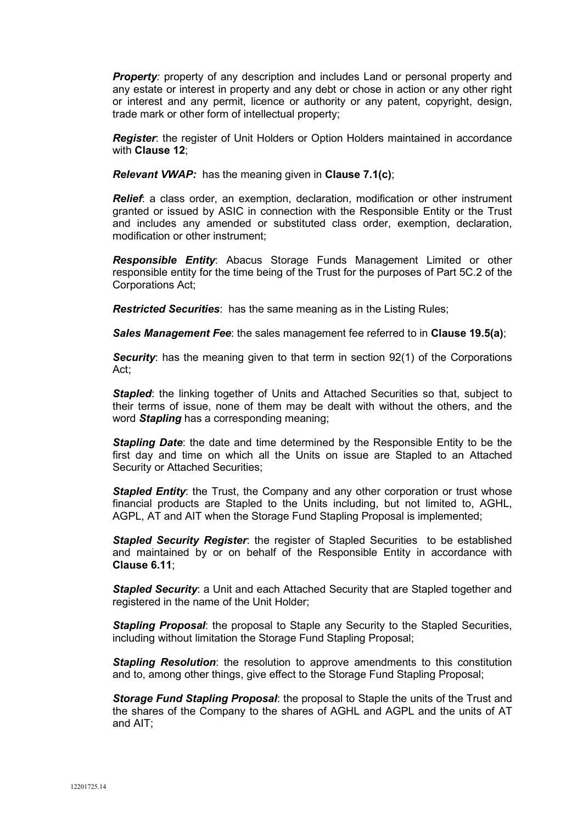*Property*: property of any description and includes Land or personal property and any estate or interest in property and any debt or chose in action or any other right or interest and any permit, licence or authority or any patent, copyright, design, trade mark or other form of intellectual property;

*Register*: the register of Unit Holders or Option Holders maintained in accordance with **Clause 12**;

*Relevant VWAP:* has the meaning given in **Clause 7.1(c)**;

*Relief*: a class order, an exemption, declaration, modification or other instrument granted or issued by ASIC in connection with the Responsible Entity or the Trust and includes any amended or substituted class order, exemption, declaration, modification or other instrument;

*Responsible Entity*: Abacus Storage Funds Management Limited or other responsible entity for the time being of the Trust for the purposes of Part 5C.2 of the Corporations Act;

*Restricted Securities*: has the same meaning as in the Listing Rules;

*Sales Management Fee*: the sales management fee referred to in **Clause 19.5(a)**;

*Security*: has the meaning given to that term in section 92(1) of the Corporations Act;

*Stapled*: the linking together of Units and Attached Securities so that, subject to their terms of issue, none of them may be dealt with without the others, and the word *Stapling* has a corresponding meaning;

*Stapling Date*: the date and time determined by the Responsible Entity to be the first day and time on which all the Units on issue are Stapled to an Attached Security or Attached Securities;

**Stapled Entity:** the Trust, the Company and any other corporation or trust whose financial products are Stapled to the Units including, but not limited to, AGHL, AGPL, AT and AIT when the Storage Fund Stapling Proposal is implemented;

*Stapled Security Register*: the register of Stapled Securities to be established and maintained by or on behalf of the Responsible Entity in accordance with **Clause 6.11**;

*Stapled Security*: a Unit and each Attached Security that are Stapled together and registered in the name of the Unit Holder;

*Stapling Proposal*: the proposal to Staple any Security to the Stapled Securities, including without limitation the Storage Fund Stapling Proposal;

**Stapling Resolution**: the resolution to approve amendments to this constitution and to, among other things, give effect to the Storage Fund Stapling Proposal;

*Storage Fund Stapling Proposal*: the proposal to Staple the units of the Trust and the shares of the Company to the shares of AGHL and AGPL and the units of AT and AIT;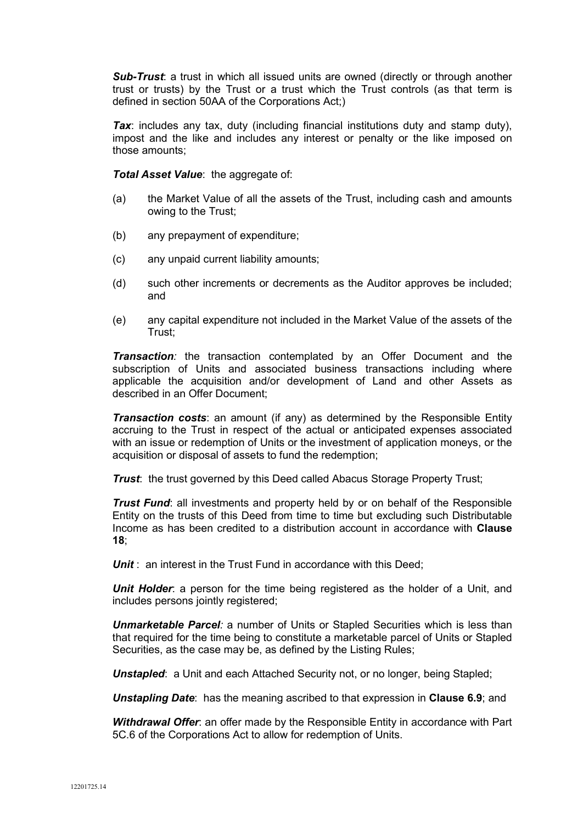*Sub-Trust*: a trust in which all issued units are owned (directly or through another trust or trusts) by the Trust or a trust which the Trust controls (as that term is defined in section 50AA of the Corporations Act;)

*Tax*: includes any tax, duty (including financial institutions duty and stamp duty). impost and the like and includes any interest or penalty or the like imposed on those amounts;

*Total Asset Value*: the aggregate of:

- (a) the Market Value of all the assets of the Trust, including cash and amounts owing to the Trust;
- (b) any prepayment of expenditure;
- (c) any unpaid current liability amounts;
- (d) such other increments or decrements as the Auditor approves be included; and
- (e) any capital expenditure not included in the Market Value of the assets of the Trust;

*Transaction:* the transaction contemplated by an Offer Document and the subscription of Units and associated business transactions including where applicable the acquisition and/or development of Land and other Assets as described in an Offer Document;

*Transaction costs:* an amount (if any) as determined by the Responsible Entity accruing to the Trust in respect of the actual or anticipated expenses associated with an issue or redemption of Units or the investment of application moneys, or the acquisition or disposal of assets to fund the redemption;

*Trust*: the trust governed by this Deed called Abacus Storage Property Trust;

*Trust Fund:* all investments and property held by or on behalf of the Responsible Entity on the trusts of this Deed from time to time but excluding such Distributable Income as has been credited to a distribution account in accordance with **Clause 18**;

**Unit**: an interest in the Trust Fund in accordance with this Deed:

*Unit Holder*: a person for the time being registered as the holder of a Unit, and includes persons jointly registered;

*Unmarketable Parcel:* a number of Units or Stapled Securities which is less than that required for the time being to constitute a marketable parcel of Units or Stapled Securities, as the case may be, as defined by the Listing Rules;

*Unstapled*: a Unit and each Attached Security not, or no longer, being Stapled;

*Unstapling Date*: has the meaning ascribed to that expression in **Clause 6.9**; and

*Withdrawal Offer*: an offer made by the Responsible Entity in accordance with Part 5C.6 of the Corporations Act to allow for redemption of Units.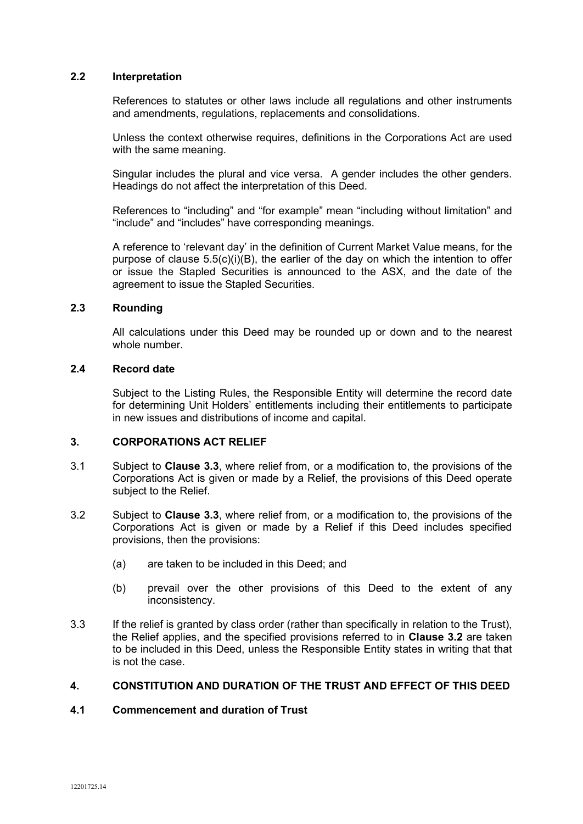### **2.2 Interpretation**

References to statutes or other laws include all regulations and other instruments and amendments, regulations, replacements and consolidations.

Unless the context otherwise requires, definitions in the Corporations Act are used with the same meaning.

Singular includes the plural and vice versa. A gender includes the other genders. Headings do not affect the interpretation of this Deed.

References to "including" and "for example" mean "including without limitation" and "include" and "includes" have corresponding meanings.

A reference to 'relevant day' in the definition of Current Market Value means, for the purpose of clause  $5.5(c)(i)(B)$ , the earlier of the day on which the intention to offer or issue the Stapled Securities is announced to the ASX, and the date of the agreement to issue the Stapled Securities.

## **2.3 Rounding**

All calculations under this Deed may be rounded up or down and to the nearest whole number.

### **2.4 Record date**

Subject to the Listing Rules, the Responsible Entity will determine the record date for determining Unit Holders' entitlements including their entitlements to participate in new issues and distributions of income and capital.

### **3. CORPORATIONS ACT RELIEF**

- 3.1 Subject to **Clause 3.3**, where relief from, or a modification to, the provisions of the Corporations Act is given or made by a Relief, the provisions of this Deed operate subject to the Relief.
- 3.2 Subject to **Clause 3.3**, where relief from, or a modification to, the provisions of the Corporations Act is given or made by a Relief if this Deed includes specified provisions, then the provisions:
	- (a) are taken to be included in this Deed; and
	- (b) prevail over the other provisions of this Deed to the extent of any inconsistency.
- 3.3 If the relief is granted by class order (rather than specifically in relation to the Trust), the Relief applies, and the specified provisions referred to in **Clause 3.2** are taken to be included in this Deed, unless the Responsible Entity states in writing that that is not the case.

## **4. CONSTITUTION AND DURATION OF THE TRUST AND EFFECT OF THIS DEED**

## **4.1 Commencement and duration of Trust**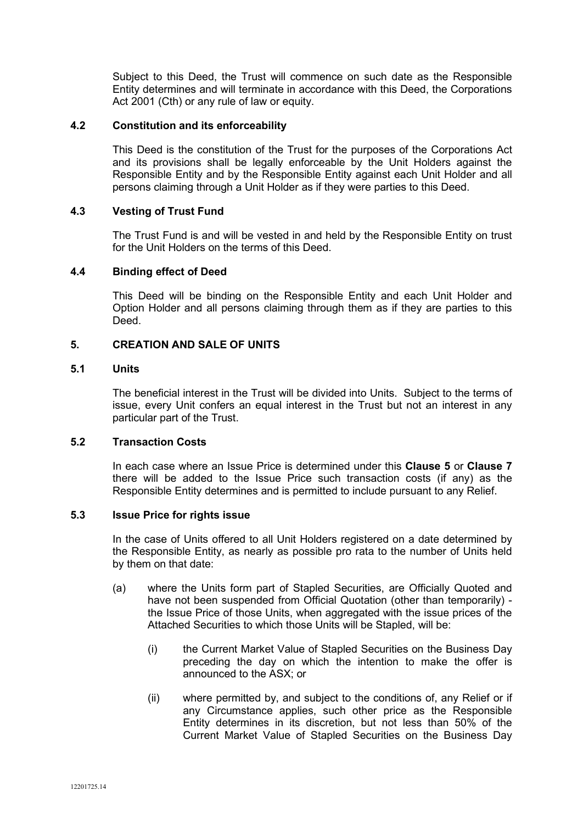Subject to this Deed, the Trust will commence on such date as the Responsible Entity determines and will terminate in accordance with this Deed, the Corporations Act 2001 (Cth) or any rule of law or equity.

## **4.2 Constitution and its enforceability**

This Deed is the constitution of the Trust for the purposes of the Corporations Act and its provisions shall be legally enforceable by the Unit Holders against the Responsible Entity and by the Responsible Entity against each Unit Holder and all persons claiming through a Unit Holder as if they were parties to this Deed.

## **4.3 Vesting of Trust Fund**

The Trust Fund is and will be vested in and held by the Responsible Entity on trust for the Unit Holders on the terms of this Deed.

## **4.4 Binding effect of Deed**

This Deed will be binding on the Responsible Entity and each Unit Holder and Option Holder and all persons claiming through them as if they are parties to this **Deed** 

## **5. CREATION AND SALE OF UNITS**

## **5.1 Units**

The beneficial interest in the Trust will be divided into Units. Subject to the terms of issue, every Unit confers an equal interest in the Trust but not an interest in any particular part of the Trust.

### **5.2 Transaction Costs**

In each case where an Issue Price is determined under this **Clause 5** or **Clause 7**  there will be added to the Issue Price such transaction costs (if any) as the Responsible Entity determines and is permitted to include pursuant to any Relief.

#### **5.3 Issue Price for rights issue**

In the case of Units offered to all Unit Holders registered on a date determined by the Responsible Entity, as nearly as possible pro rata to the number of Units held by them on that date:

- (a) where the Units form part of Stapled Securities, are Officially Quoted and have not been suspended from Official Quotation (other than temporarily) the Issue Price of those Units, when aggregated with the issue prices of the Attached Securities to which those Units will be Stapled, will be:
	- (i) the Current Market Value of Stapled Securities on the Business Day preceding the day on which the intention to make the offer is announced to the ASX; or
	- (ii) where permitted by, and subject to the conditions of, any Relief or if any Circumstance applies, such other price as the Responsible Entity determines in its discretion, but not less than 50% of the Current Market Value of Stapled Securities on the Business Day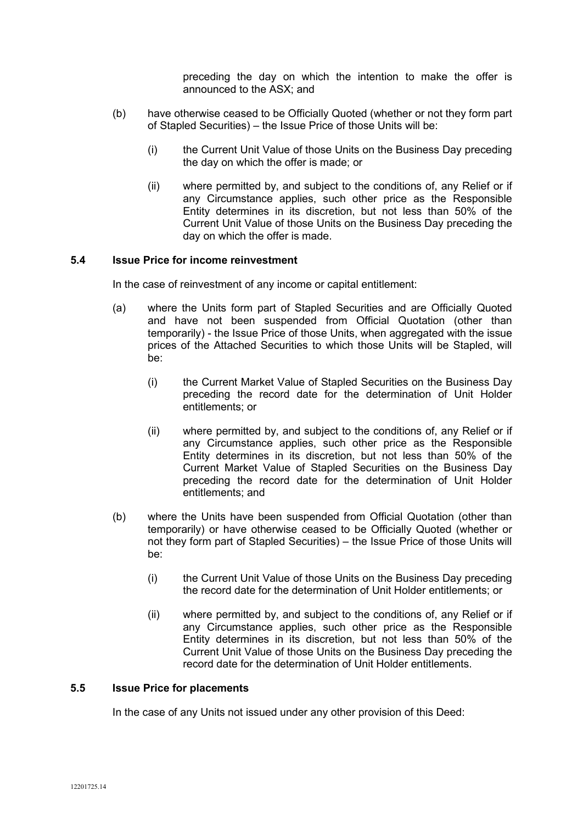preceding the day on which the intention to make the offer is announced to the ASX; and

- (b) have otherwise ceased to be Officially Quoted (whether or not they form part of Stapled Securities) – the Issue Price of those Units will be:
	- (i) the Current Unit Value of those Units on the Business Day preceding the day on which the offer is made; or
	- (ii) where permitted by, and subject to the conditions of, any Relief or if any Circumstance applies, such other price as the Responsible Entity determines in its discretion, but not less than 50% of the Current Unit Value of those Units on the Business Day preceding the day on which the offer is made.

## **5.4 Issue Price for income reinvestment**

In the case of reinvestment of any income or capital entitlement:

- (a) where the Units form part of Stapled Securities and are Officially Quoted and have not been suspended from Official Quotation (other than temporarily) - the Issue Price of those Units, when aggregated with the issue prices of the Attached Securities to which those Units will be Stapled, will be:
	- (i) the Current Market Value of Stapled Securities on the Business Day preceding the record date for the determination of Unit Holder entitlements; or
	- (ii) where permitted by, and subject to the conditions of, any Relief or if any Circumstance applies, such other price as the Responsible Entity determines in its discretion, but not less than 50% of the Current Market Value of Stapled Securities on the Business Day preceding the record date for the determination of Unit Holder entitlements; and
- (b) where the Units have been suspended from Official Quotation (other than temporarily) or have otherwise ceased to be Officially Quoted (whether or not they form part of Stapled Securities) – the Issue Price of those Units will be:
	- (i) the Current Unit Value of those Units on the Business Day preceding the record date for the determination of Unit Holder entitlements; or
	- (ii) where permitted by, and subject to the conditions of, any Relief or if any Circumstance applies, such other price as the Responsible Entity determines in its discretion, but not less than 50% of the Current Unit Value of those Units on the Business Day preceding the record date for the determination of Unit Holder entitlements.

## **5.5 Issue Price for placements**

In the case of any Units not issued under any other provision of this Deed: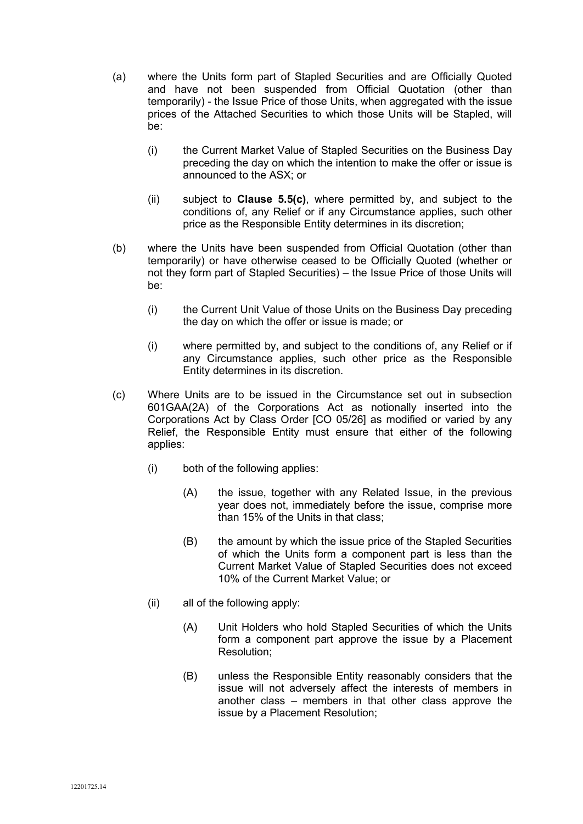- (a) where the Units form part of Stapled Securities and are Officially Quoted and have not been suspended from Official Quotation (other than temporarily) - the Issue Price of those Units, when aggregated with the issue prices of the Attached Securities to which those Units will be Stapled, will be:
	- (i) the Current Market Value of Stapled Securities on the Business Day preceding the day on which the intention to make the offer or issue is announced to the ASX; or
	- (ii) subject to **Clause 5.5(c)**, where permitted by, and subject to the conditions of, any Relief or if any Circumstance applies, such other price as the Responsible Entity determines in its discretion;
- (b) where the Units have been suspended from Official Quotation (other than temporarily) or have otherwise ceased to be Officially Quoted (whether or not they form part of Stapled Securities) – the Issue Price of those Units will be:
	- (i) the Current Unit Value of those Units on the Business Day preceding the day on which the offer or issue is made; or
	- (i) where permitted by, and subject to the conditions of, any Relief or if any Circumstance applies, such other price as the Responsible Entity determines in its discretion.
- (c) Where Units are to be issued in the Circumstance set out in subsection 601GAA(2A) of the Corporations Act as notionally inserted into the Corporations Act by Class Order [CO 05/26] as modified or varied by any Relief, the Responsible Entity must ensure that either of the following applies:
	- (i) both of the following applies:
		- (A) the issue, together with any Related Issue, in the previous year does not, immediately before the issue, comprise more than 15% of the Units in that class;
		- (B) the amount by which the issue price of the Stapled Securities of which the Units form a component part is less than the Current Market Value of Stapled Securities does not exceed 10% of the Current Market Value; or
	- (ii) all of the following apply:
		- (A) Unit Holders who hold Stapled Securities of which the Units form a component part approve the issue by a Placement Resolution;
		- (B) unless the Responsible Entity reasonably considers that the issue will not adversely affect the interests of members in another class – members in that other class approve the issue by a Placement Resolution;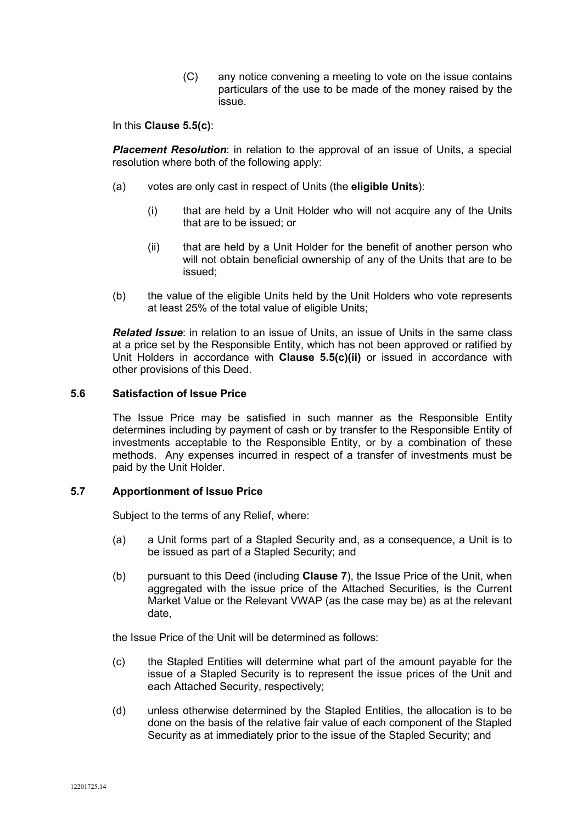(C) any notice convening a meeting to vote on the issue contains particulars of the use to be made of the money raised by the issue.

In this **Clause 5.5(c)**:

*Placement Resolution*: in relation to the approval of an issue of Units, a special resolution where both of the following apply:

- (a) votes are only cast in respect of Units (the **eligible Units**):
	- (i) that are held by a Unit Holder who will not acquire any of the Units that are to be issued; or
	- (ii) that are held by a Unit Holder for the benefit of another person who will not obtain beneficial ownership of any of the Units that are to be issued;
- (b) the value of the eligible Units held by the Unit Holders who vote represents at least 25% of the total value of eligible Units;

*Related Issue*: in relation to an issue of Units, an issue of Units in the same class at a price set by the Responsible Entity, which has not been approved or ratified by Unit Holders in accordance with **Clause 5.5(c)(ii)** or issued in accordance with other provisions of this Deed.

## **5.6 Satisfaction of Issue Price**

The Issue Price may be satisfied in such manner as the Responsible Entity determines including by payment of cash or by transfer to the Responsible Entity of investments acceptable to the Responsible Entity, or by a combination of these methods. Any expenses incurred in respect of a transfer of investments must be paid by the Unit Holder.

## **5.7 Apportionment of Issue Price**

Subject to the terms of any Relief, where:

- (a) a Unit forms part of a Stapled Security and, as a consequence, a Unit is to be issued as part of a Stapled Security; and
- (b) pursuant to this Deed (including **Clause 7**), the Issue Price of the Unit, when aggregated with the issue price of the Attached Securities, is the Current Market Value or the Relevant VWAP (as the case may be) as at the relevant date,

the Issue Price of the Unit will be determined as follows:

- (c) the Stapled Entities will determine what part of the amount payable for the issue of a Stapled Security is to represent the issue prices of the Unit and each Attached Security, respectively;
- (d) unless otherwise determined by the Stapled Entities, the allocation is to be done on the basis of the relative fair value of each component of the Stapled Security as at immediately prior to the issue of the Stapled Security; and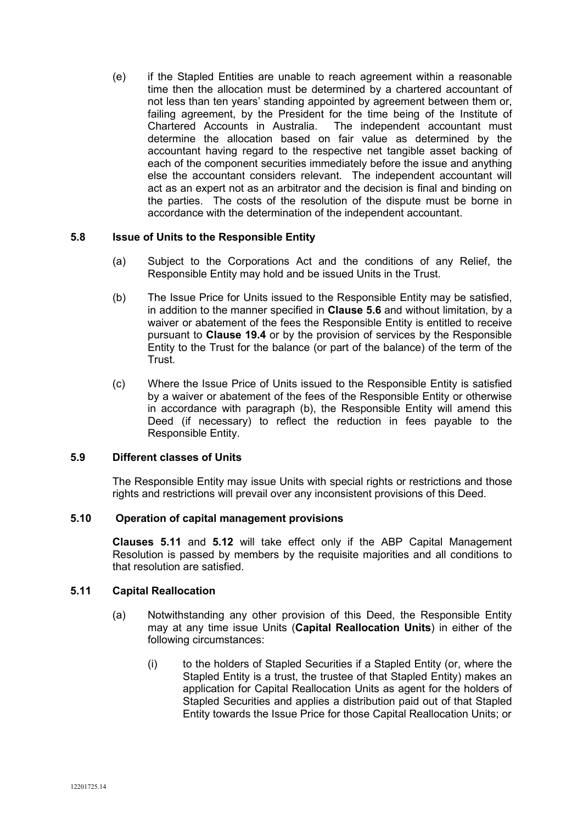(e) if the Stapled Entities are unable to reach agreement within a reasonable time then the allocation must be determined by a chartered accountant of not less than ten years' standing appointed by agreement between them or, failing agreement, by the President for the time being of the Institute of Chartered Accounts in Australia. The independent accountant must The independent accountant must determine the allocation based on fair value as determined by the accountant having regard to the respective net tangible asset backing of each of the component securities immediately before the issue and anything else the accountant considers relevant. The independent accountant will act as an expert not as an arbitrator and the decision is final and binding on the parties. The costs of the resolution of the dispute must be borne in accordance with the determination of the independent accountant.

## **5.8 Issue of Units to the Responsible Entity**

- (a) Subject to the Corporations Act and the conditions of any Relief, the Responsible Entity may hold and be issued Units in the Trust.
- (b) The Issue Price for Units issued to the Responsible Entity may be satisfied, in addition to the manner specified in **Clause 5.6** and without limitation, by a waiver or abatement of the fees the Responsible Entity is entitled to receive pursuant to **Clause 19.4** or by the provision of services by the Responsible Entity to the Trust for the balance (or part of the balance) of the term of the Trust.
- (c) Where the Issue Price of Units issued to the Responsible Entity is satisfied by a waiver or abatement of the fees of the Responsible Entity or otherwise in accordance with paragraph (b), the Responsible Entity will amend this Deed (if necessary) to reflect the reduction in fees payable to the Responsible Entity.

## **5.9 Different classes of Units**

The Responsible Entity may issue Units with special rights or restrictions and those rights and restrictions will prevail over any inconsistent provisions of this Deed.

#### **5.10 Operation of capital management provisions**

**Clauses 5.11** and **5.12** will take effect only if the ABP Capital Management Resolution is passed by members by the requisite majorities and all conditions to that resolution are satisfied.

#### **5.11 Capital Reallocation**

- (a) Notwithstanding any other provision of this Deed, the Responsible Entity may at any time issue Units (**Capital Reallocation Units**) in either of the following circumstances:
	- (i) to the holders of Stapled Securities if a Stapled Entity (or, where the Stapled Entity is a trust, the trustee of that Stapled Entity) makes an application for Capital Reallocation Units as agent for the holders of Stapled Securities and applies a distribution paid out of that Stapled Entity towards the Issue Price for those Capital Reallocation Units; or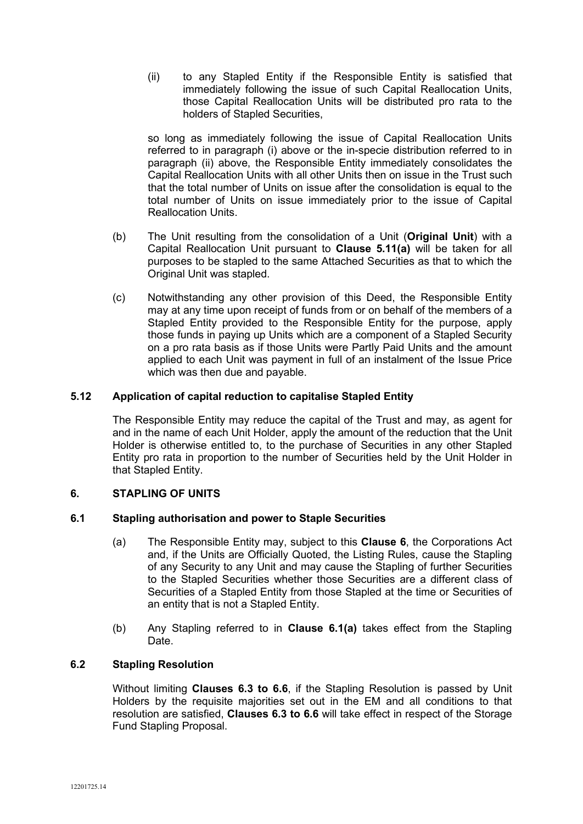(ii) to any Stapled Entity if the Responsible Entity is satisfied that immediately following the issue of such Capital Reallocation Units, those Capital Reallocation Units will be distributed pro rata to the holders of Stapled Securities,

so long as immediately following the issue of Capital Reallocation Units referred to in paragraph (i) above or the in-specie distribution referred to in paragraph (ii) above, the Responsible Entity immediately consolidates the Capital Reallocation Units with all other Units then on issue in the Trust such that the total number of Units on issue after the consolidation is equal to the total number of Units on issue immediately prior to the issue of Capital Reallocation Units.

- (b) The Unit resulting from the consolidation of a Unit (**Original Unit**) with a Capital Reallocation Unit pursuant to **Clause 5.11(a)** will be taken for all purposes to be stapled to the same Attached Securities as that to which the Original Unit was stapled.
- (c) Notwithstanding any other provision of this Deed, the Responsible Entity may at any time upon receipt of funds from or on behalf of the members of a Stapled Entity provided to the Responsible Entity for the purpose, apply those funds in paying up Units which are a component of a Stapled Security on a pro rata basis as if those Units were Partly Paid Units and the amount applied to each Unit was payment in full of an instalment of the Issue Price which was then due and payable.

## **5.12 Application of capital reduction to capitalise Stapled Entity**

The Responsible Entity may reduce the capital of the Trust and may, as agent for and in the name of each Unit Holder, apply the amount of the reduction that the Unit Holder is otherwise entitled to, to the purchase of Securities in any other Stapled Entity pro rata in proportion to the number of Securities held by the Unit Holder in that Stapled Entity.

## **6. STAPLING OF UNITS**

## **6.1 Stapling authorisation and power to Staple Securities**

- (a) The Responsible Entity may, subject to this **Clause 6**, the Corporations Act and, if the Units are Officially Quoted, the Listing Rules, cause the Stapling of any Security to any Unit and may cause the Stapling of further Securities to the Stapled Securities whether those Securities are a different class of Securities of a Stapled Entity from those Stapled at the time or Securities of an entity that is not a Stapled Entity.
- (b) Any Stapling referred to in **Clause 6.1(a)** takes effect from the Stapling Date.

## **6.2 Stapling Resolution**

Without limiting **Clauses 6.3 to 6.6**, if the Stapling Resolution is passed by Unit Holders by the requisite majorities set out in the EM and all conditions to that resolution are satisfied, **Clauses 6.3 to 6.6** will take effect in respect of the Storage Fund Stapling Proposal.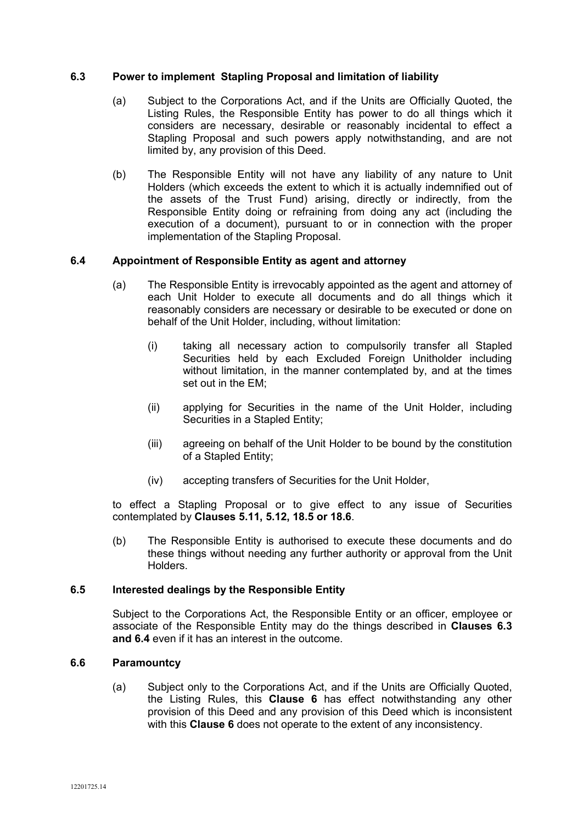### **6.3 Power to implement Stapling Proposal and limitation of liability**

- (a) Subject to the Corporations Act, and if the Units are Officially Quoted, the Listing Rules, the Responsible Entity has power to do all things which it considers are necessary, desirable or reasonably incidental to effect a Stapling Proposal and such powers apply notwithstanding, and are not limited by, any provision of this Deed.
- (b) The Responsible Entity will not have any liability of any nature to Unit Holders (which exceeds the extent to which it is actually indemnified out of the assets of the Trust Fund) arising, directly or indirectly, from the Responsible Entity doing or refraining from doing any act (including the execution of a document), pursuant to or in connection with the proper implementation of the Stapling Proposal.

## **6.4 Appointment of Responsible Entity as agent and attorney**

- (a) The Responsible Entity is irrevocably appointed as the agent and attorney of each Unit Holder to execute all documents and do all things which it reasonably considers are necessary or desirable to be executed or done on behalf of the Unit Holder, including, without limitation:
	- (i) taking all necessary action to compulsorily transfer all Stapled Securities held by each Excluded Foreign Unitholder including without limitation, in the manner contemplated by, and at the times set out in the EM;
	- (ii) applying for Securities in the name of the Unit Holder, including Securities in a Stapled Entity;
	- (iii) agreeing on behalf of the Unit Holder to be bound by the constitution of a Stapled Entity;
	- (iv) accepting transfers of Securities for the Unit Holder,

to effect a Stapling Proposal or to give effect to any issue of Securities contemplated by **Clauses 5.11, 5.12, 18.5 or 18.6**.

(b) The Responsible Entity is authorised to execute these documents and do these things without needing any further authority or approval from the Unit **Holders** 

#### **6.5 Interested dealings by the Responsible Entity**

Subject to the Corporations Act, the Responsible Entity or an officer, employee or associate of the Responsible Entity may do the things described in **Clauses 6.3 and 6.4** even if it has an interest in the outcome.

#### **6.6 Paramountcy**

(a) Subject only to the Corporations Act, and if the Units are Officially Quoted, the Listing Rules, this **Clause 6** has effect notwithstanding any other provision of this Deed and any provision of this Deed which is inconsistent with this **Clause 6** does not operate to the extent of any inconsistency.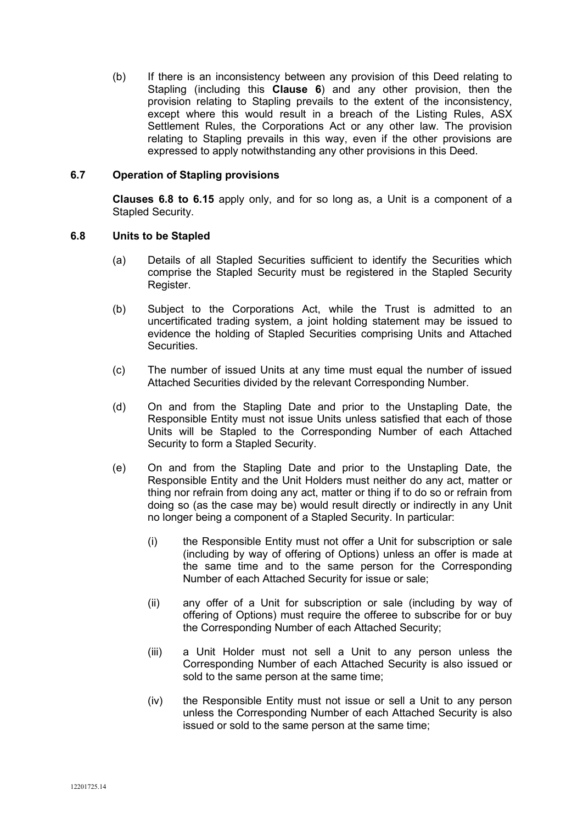(b) If there is an inconsistency between any provision of this Deed relating to Stapling (including this **Clause 6**) and any other provision, then the provision relating to Stapling prevails to the extent of the inconsistency, except where this would result in a breach of the Listing Rules, ASX Settlement Rules, the Corporations Act or any other law. The provision relating to Stapling prevails in this way, even if the other provisions are expressed to apply notwithstanding any other provisions in this Deed.

## **6.7 Operation of Stapling provisions**

**Clauses 6.8 to 6.15** apply only, and for so long as, a Unit is a component of a Stapled Security.

#### **6.8 Units to be Stapled**

- (a) Details of all Stapled Securities sufficient to identify the Securities which comprise the Stapled Security must be registered in the Stapled Security Register.
- (b) Subject to the Corporations Act, while the Trust is admitted to an uncertificated trading system, a joint holding statement may be issued to evidence the holding of Stapled Securities comprising Units and Attached Securities.
- (c) The number of issued Units at any time must equal the number of issued Attached Securities divided by the relevant Corresponding Number.
- (d) On and from the Stapling Date and prior to the Unstapling Date, the Responsible Entity must not issue Units unless satisfied that each of those Units will be Stapled to the Corresponding Number of each Attached Security to form a Stapled Security.
- (e) On and from the Stapling Date and prior to the Unstapling Date, the Responsible Entity and the Unit Holders must neither do any act, matter or thing nor refrain from doing any act, matter or thing if to do so or refrain from doing so (as the case may be) would result directly or indirectly in any Unit no longer being a component of a Stapled Security. In particular:
	- (i) the Responsible Entity must not offer a Unit for subscription or sale (including by way of offering of Options) unless an offer is made at the same time and to the same person for the Corresponding Number of each Attached Security for issue or sale;
	- (ii) any offer of a Unit for subscription or sale (including by way of offering of Options) must require the offeree to subscribe for or buy the Corresponding Number of each Attached Security;
	- (iii) a Unit Holder must not sell a Unit to any person unless the Corresponding Number of each Attached Security is also issued or sold to the same person at the same time;
	- (iv) the Responsible Entity must not issue or sell a Unit to any person unless the Corresponding Number of each Attached Security is also issued or sold to the same person at the same time;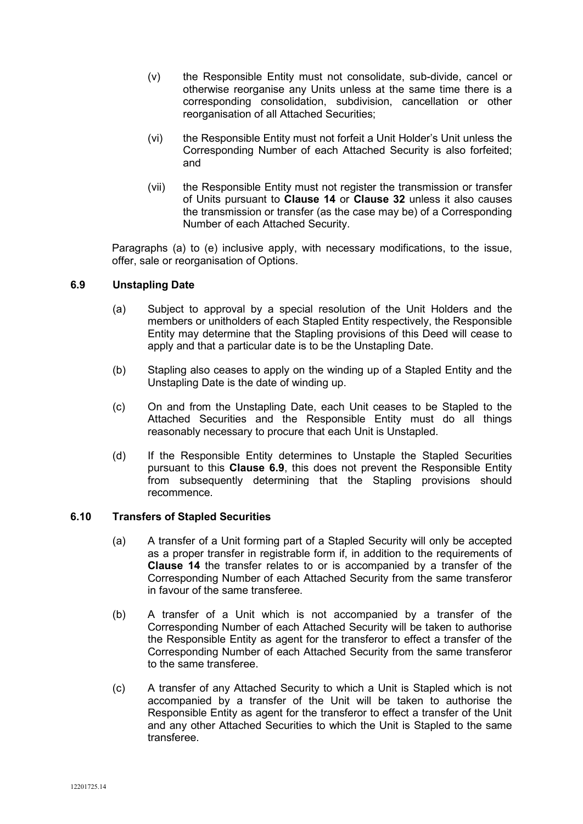- (v) the Responsible Entity must not consolidate, sub-divide, cancel or otherwise reorganise any Units unless at the same time there is a corresponding consolidation, subdivision, cancellation or other reorganisation of all Attached Securities;
- (vi) the Responsible Entity must not forfeit a Unit Holder's Unit unless the Corresponding Number of each Attached Security is also forfeited; and
- (vii) the Responsible Entity must not register the transmission or transfer of Units pursuant to **Clause 14** or **Clause 32** unless it also causes the transmission or transfer (as the case may be) of a Corresponding Number of each Attached Security.

Paragraphs (a) to (e) inclusive apply, with necessary modifications, to the issue, offer, sale or reorganisation of Options.

## **6.9 Unstapling Date**

- (a) Subject to approval by a special resolution of the Unit Holders and the members or unitholders of each Stapled Entity respectively, the Responsible Entity may determine that the Stapling provisions of this Deed will cease to apply and that a particular date is to be the Unstapling Date.
- (b) Stapling also ceases to apply on the winding up of a Stapled Entity and the Unstapling Date is the date of winding up.
- (c) On and from the Unstapling Date, each Unit ceases to be Stapled to the Attached Securities and the Responsible Entity must do all things reasonably necessary to procure that each Unit is Unstapled.
- (d) If the Responsible Entity determines to Unstaple the Stapled Securities pursuant to this **Clause 6.9**, this does not prevent the Responsible Entity from subsequently determining that the Stapling provisions should recommence.

## **6.10 Transfers of Stapled Securities**

- (a) A transfer of a Unit forming part of a Stapled Security will only be accepted as a proper transfer in registrable form if, in addition to the requirements of **Clause 14** the transfer relates to or is accompanied by a transfer of the Corresponding Number of each Attached Security from the same transferor in favour of the same transferee.
- (b) A transfer of a Unit which is not accompanied by a transfer of the Corresponding Number of each Attached Security will be taken to authorise the Responsible Entity as agent for the transferor to effect a transfer of the Corresponding Number of each Attached Security from the same transferor to the same transferee.
- (c) A transfer of any Attached Security to which a Unit is Stapled which is not accompanied by a transfer of the Unit will be taken to authorise the Responsible Entity as agent for the transferor to effect a transfer of the Unit and any other Attached Securities to which the Unit is Stapled to the same transferee.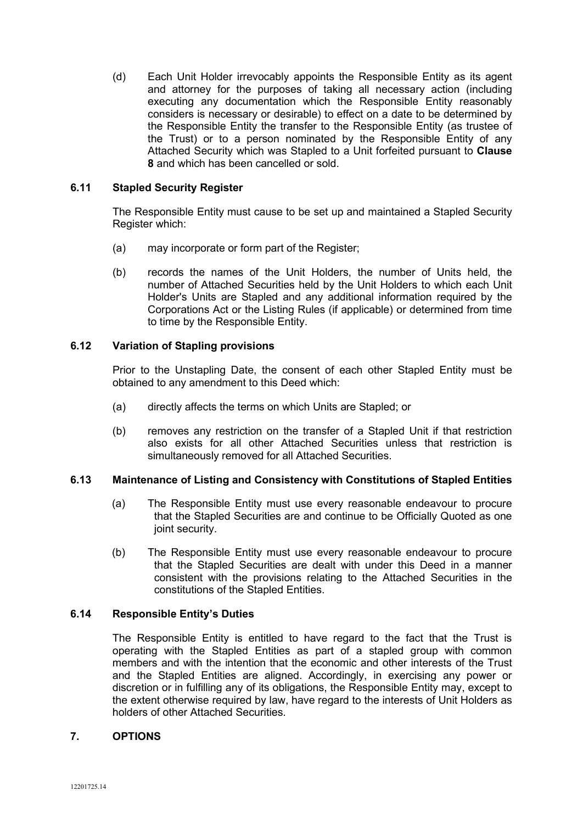(d) Each Unit Holder irrevocably appoints the Responsible Entity as its agent and attorney for the purposes of taking all necessary action (including executing any documentation which the Responsible Entity reasonably considers is necessary or desirable) to effect on a date to be determined by the Responsible Entity the transfer to the Responsible Entity (as trustee of the Trust) or to a person nominated by the Responsible Entity of any Attached Security which was Stapled to a Unit forfeited pursuant to **Clause 8** and which has been cancelled or sold.

## **6.11 Stapled Security Register**

The Responsible Entity must cause to be set up and maintained a Stapled Security Register which:

- (a) may incorporate or form part of the Register;
- (b) records the names of the Unit Holders, the number of Units held, the number of Attached Securities held by the Unit Holders to which each Unit Holder's Units are Stapled and any additional information required by the Corporations Act or the Listing Rules (if applicable) or determined from time to time by the Responsible Entity.

## **6.12 Variation of Stapling provisions**

Prior to the Unstapling Date, the consent of each other Stapled Entity must be obtained to any amendment to this Deed which:

- (a) directly affects the terms on which Units are Stapled; or
- (b) removes any restriction on the transfer of a Stapled Unit if that restriction also exists for all other Attached Securities unless that restriction is simultaneously removed for all Attached Securities.

## **6.13 Maintenance of Listing and Consistency with Constitutions of Stapled Entities**

- (a) The Responsible Entity must use every reasonable endeavour to procure that the Stapled Securities are and continue to be Officially Quoted as one joint security.
- (b) The Responsible Entity must use every reasonable endeavour to procure that the Stapled Securities are dealt with under this Deed in a manner consistent with the provisions relating to the Attached Securities in the constitutions of the Stapled Entities.

#### **6.14 Responsible Entity's Duties**

The Responsible Entity is entitled to have regard to the fact that the Trust is operating with the Stapled Entities as part of a stapled group with common members and with the intention that the economic and other interests of the Trust and the Stapled Entities are aligned. Accordingly, in exercising any power or discretion or in fulfilling any of its obligations, the Responsible Entity may, except to the extent otherwise required by law, have regard to the interests of Unit Holders as holders of other Attached Securities.

## **7. OPTIONS**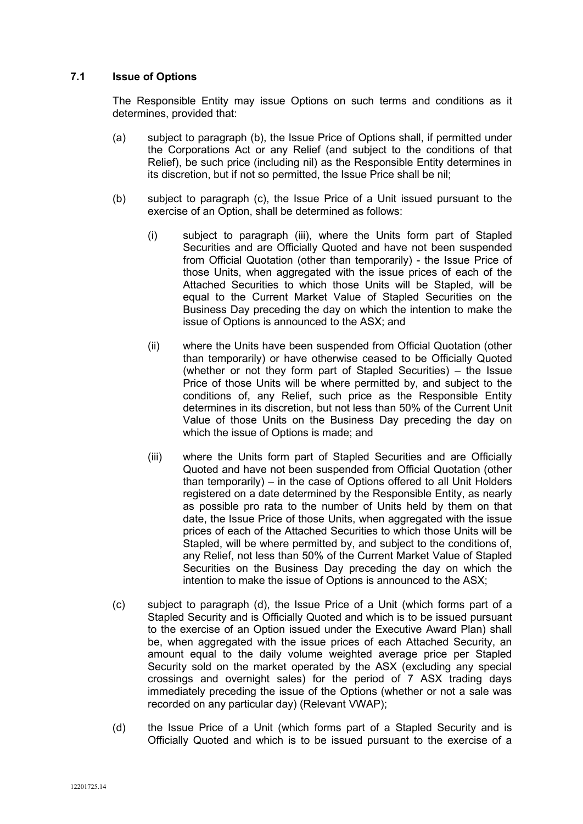## **7.1 Issue of Options**

The Responsible Entity may issue Options on such terms and conditions as it determines, provided that:

- (a) subject to paragraph (b), the Issue Price of Options shall, if permitted under the Corporations Act or any Relief (and subject to the conditions of that Relief), be such price (including nil) as the Responsible Entity determines in its discretion, but if not so permitted, the Issue Price shall be nil;
- (b) subject to paragraph (c), the Issue Price of a Unit issued pursuant to the exercise of an Option, shall be determined as follows:
	- (i) subject to paragraph (iii), where the Units form part of Stapled Securities and are Officially Quoted and have not been suspended from Official Quotation (other than temporarily) - the Issue Price of those Units, when aggregated with the issue prices of each of the Attached Securities to which those Units will be Stapled, will be equal to the Current Market Value of Stapled Securities on the Business Day preceding the day on which the intention to make the issue of Options is announced to the ASX; and
	- (ii) where the Units have been suspended from Official Quotation (other than temporarily) or have otherwise ceased to be Officially Quoted (whether or not they form part of Stapled Securities) – the Issue Price of those Units will be where permitted by, and subject to the conditions of, any Relief, such price as the Responsible Entity determines in its discretion, but not less than 50% of the Current Unit Value of those Units on the Business Day preceding the day on which the issue of Options is made; and
	- (iii) where the Units form part of Stapled Securities and are Officially Quoted and have not been suspended from Official Quotation (other than temporarily) – in the case of Options offered to all Unit Holders registered on a date determined by the Responsible Entity, as nearly as possible pro rata to the number of Units held by them on that date, the Issue Price of those Units, when aggregated with the issue prices of each of the Attached Securities to which those Units will be Stapled, will be where permitted by, and subject to the conditions of, any Relief, not less than 50% of the Current Market Value of Stapled Securities on the Business Day preceding the day on which the intention to make the issue of Options is announced to the ASX;
- (c) subject to paragraph (d), the Issue Price of a Unit (which forms part of a Stapled Security and is Officially Quoted and which is to be issued pursuant to the exercise of an Option issued under the Executive Award Plan) shall be, when aggregated with the issue prices of each Attached Security, an amount equal to the daily volume weighted average price per Stapled Security sold on the market operated by the ASX (excluding any special crossings and overnight sales) for the period of 7 ASX trading days immediately preceding the issue of the Options (whether or not a sale was recorded on any particular day) (Relevant VWAP);
- (d) the Issue Price of a Unit (which forms part of a Stapled Security and is Officially Quoted and which is to be issued pursuant to the exercise of a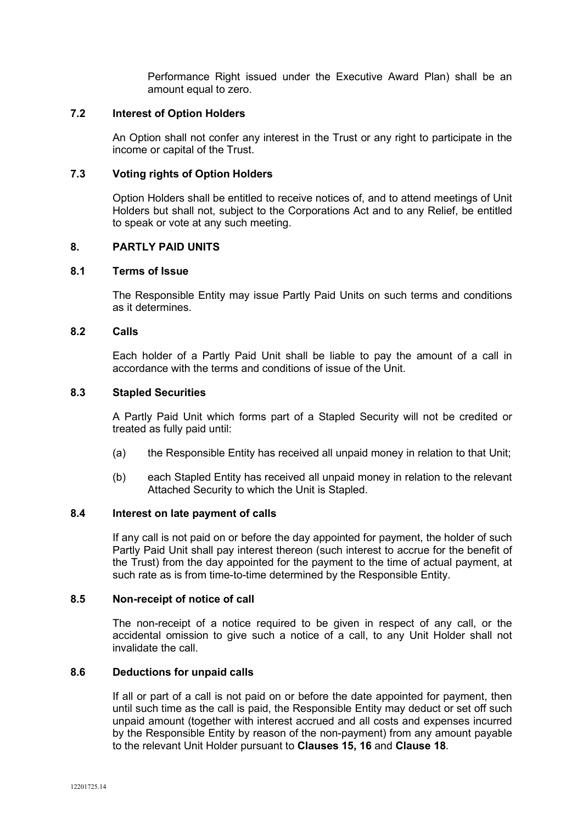Performance Right issued under the Executive Award Plan) shall be an amount equal to zero.

## **7.2 Interest of Option Holders**

An Option shall not confer any interest in the Trust or any right to participate in the income or capital of the Trust.

## **7.3 Voting rights of Option Holders**

Option Holders shall be entitled to receive notices of, and to attend meetings of Unit Holders but shall not, subject to the Corporations Act and to any Relief, be entitled to speak or vote at any such meeting.

## **8. PARTLY PAID UNITS**

## **8.1 Terms of Issue**

The Responsible Entity may issue Partly Paid Units on such terms and conditions as it determines.

## **8.2 Calls**

Each holder of a Partly Paid Unit shall be liable to pay the amount of a call in accordance with the terms and conditions of issue of the Unit.

## **8.3 Stapled Securities**

A Partly Paid Unit which forms part of a Stapled Security will not be credited or treated as fully paid until:

- (a) the Responsible Entity has received all unpaid money in relation to that Unit;
- (b) each Stapled Entity has received all unpaid money in relation to the relevant Attached Security to which the Unit is Stapled.

#### **8.4 Interest on late payment of calls**

If any call is not paid on or before the day appointed for payment, the holder of such Partly Paid Unit shall pay interest thereon (such interest to accrue for the benefit of the Trust) from the day appointed for the payment to the time of actual payment, at such rate as is from time-to-time determined by the Responsible Entity.

#### **8.5 Non-receipt of notice of call**

The non-receipt of a notice required to be given in respect of any call, or the accidental omission to give such a notice of a call, to any Unit Holder shall not invalidate the call.

#### **8.6 Deductions for unpaid calls**

If all or part of a call is not paid on or before the date appointed for payment, then until such time as the call is paid, the Responsible Entity may deduct or set off such unpaid amount (together with interest accrued and all costs and expenses incurred by the Responsible Entity by reason of the non-payment) from any amount payable to the relevant Unit Holder pursuant to **Clauses 15, 16** and **Clause 18**.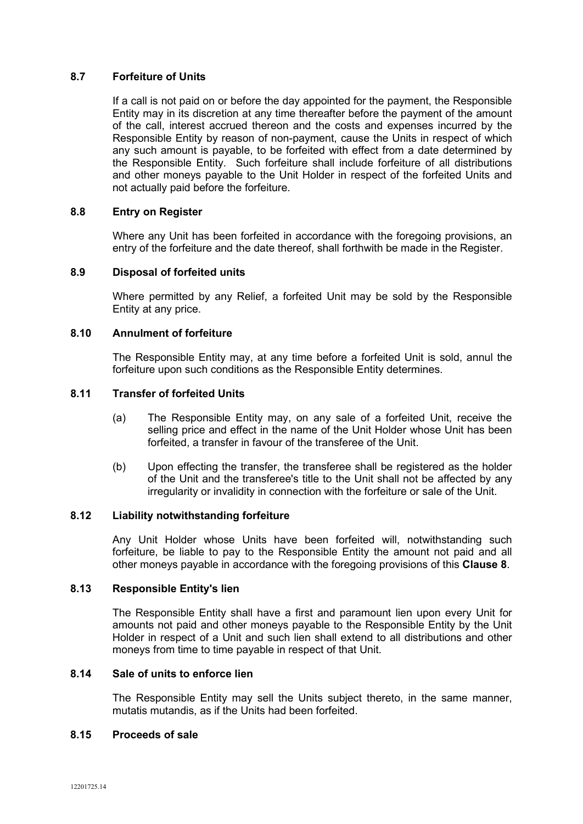## **8.7 Forfeiture of Units**

If a call is not paid on or before the day appointed for the payment, the Responsible Entity may in its discretion at any time thereafter before the payment of the amount of the call, interest accrued thereon and the costs and expenses incurred by the Responsible Entity by reason of non-payment, cause the Units in respect of which any such amount is payable, to be forfeited with effect from a date determined by the Responsible Entity. Such forfeiture shall include forfeiture of all distributions and other moneys payable to the Unit Holder in respect of the forfeited Units and not actually paid before the forfeiture.

## **8.8 Entry on Register**

Where any Unit has been forfeited in accordance with the foregoing provisions, an entry of the forfeiture and the date thereof, shall forthwith be made in the Register.

#### **8.9 Disposal of forfeited units**

Where permitted by any Relief, a forfeited Unit may be sold by the Responsible Entity at any price.

## **8.10 Annulment of forfeiture**

The Responsible Entity may, at any time before a forfeited Unit is sold, annul the forfeiture upon such conditions as the Responsible Entity determines.

## **8.11 Transfer of forfeited Units**

- (a) The Responsible Entity may, on any sale of a forfeited Unit, receive the selling price and effect in the name of the Unit Holder whose Unit has been forfeited, a transfer in favour of the transferee of the Unit.
- (b) Upon effecting the transfer, the transferee shall be registered as the holder of the Unit and the transferee's title to the Unit shall not be affected by any irregularity or invalidity in connection with the forfeiture or sale of the Unit.

### **8.12 Liability notwithstanding forfeiture**

Any Unit Holder whose Units have been forfeited will, notwithstanding such forfeiture, be liable to pay to the Responsible Entity the amount not paid and all other moneys payable in accordance with the foregoing provisions of this **Clause 8**.

#### **8.13 Responsible Entity's lien**

The Responsible Entity shall have a first and paramount lien upon every Unit for amounts not paid and other moneys payable to the Responsible Entity by the Unit Holder in respect of a Unit and such lien shall extend to all distributions and other moneys from time to time payable in respect of that Unit.

## **8.14 Sale of units to enforce lien**

The Responsible Entity may sell the Units subject thereto, in the same manner, mutatis mutandis, as if the Units had been forfeited.

### **8.15 Proceeds of sale**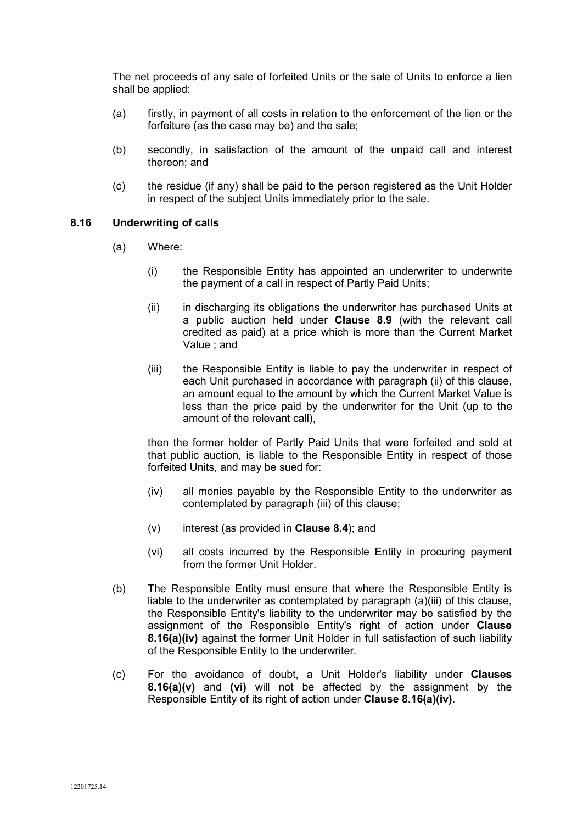The net proceeds of any sale of forfeited Units or the sale of Units to enforce a lien shall be applied:

- (a) firstly, in payment of all costs in relation to the enforcement of the lien or the forfeiture (as the case may be) and the sale;
- (b) secondly, in satisfaction of the amount of the unpaid call and interest thereon; and
- (c) the residue (if any) shall be paid to the person registered as the Unit Holder in respect of the subject Units immediately prior to the sale.

## **8.16 Underwriting of calls**

- (a) Where:
	- (i) the Responsible Entity has appointed an underwriter to underwrite the payment of a call in respect of Partly Paid Units;
	- (ii) in discharging its obligations the underwriter has purchased Units at a public auction held under **Clause 8.9** (with the relevant call credited as paid) at a price which is more than the Current Market Value ; and
	- (iii) the Responsible Entity is liable to pay the underwriter in respect of each Unit purchased in accordance with paragraph (ii) of this clause, an amount equal to the amount by which the Current Market Value is less than the price paid by the underwriter for the Unit (up to the amount of the relevant call),

then the former holder of Partly Paid Units that were forfeited and sold at that public auction, is liable to the Responsible Entity in respect of those forfeited Units, and may be sued for:

- (iv) all monies payable by the Responsible Entity to the underwriter as contemplated by paragraph (iii) of this clause;
- (v) interest (as provided in **Clause 8.4**); and
- (vi) all costs incurred by the Responsible Entity in procuring payment from the former Unit Holder
- (b) The Responsible Entity must ensure that where the Responsible Entity is liable to the underwriter as contemplated by paragraph (a)(iii) of this clause, the Responsible Entity's liability to the underwriter may be satisfied by the assignment of the Responsible Entity's right of action under **Clause 8.16(a)(iv)** against the former Unit Holder in full satisfaction of such liability of the Responsible Entity to the underwriter.
- (c) For the avoidance of doubt, a Unit Holder's liability under **Clauses 8.16(a)(v)** and **(vi)** will not be affected by the assignment by the Responsible Entity of its right of action under **Clause 8.16(a)(iv)**.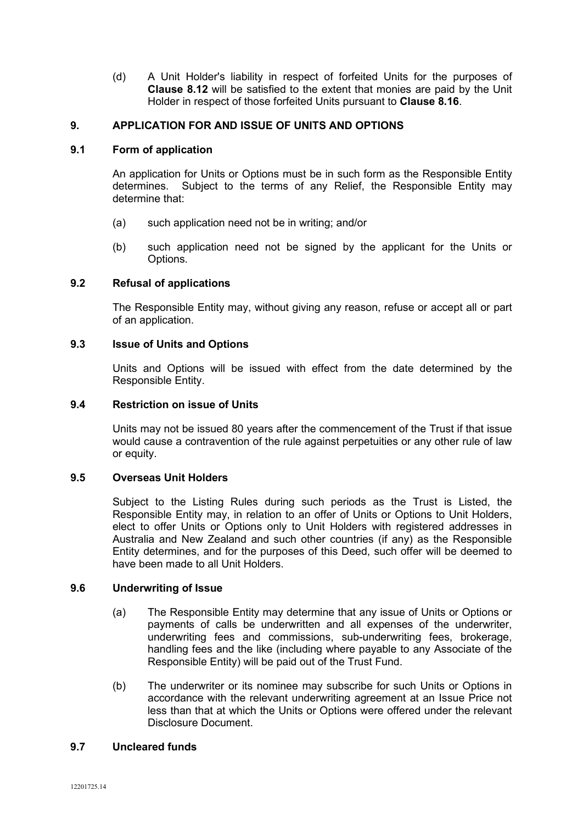(d) A Unit Holder's liability in respect of forfeited Units for the purposes of **Clause 8.12** will be satisfied to the extent that monies are paid by the Unit Holder in respect of those forfeited Units pursuant to **Clause 8.16**.

## **9. APPLICATION FOR AND ISSUE OF UNITS AND OPTIONS**

## **9.1 Form of application**

An application for Units or Options must be in such form as the Responsible Entity determines. Subject to the terms of any Relief, the Responsible Entity may determine that:

- (a) such application need not be in writing; and/or
- (b) such application need not be signed by the applicant for the Units or Options.

## **9.2 Refusal of applications**

The Responsible Entity may, without giving any reason, refuse or accept all or part of an application.

## **9.3 Issue of Units and Options**

Units and Options will be issued with effect from the date determined by the Responsible Entity.

## **9.4 Restriction on issue of Units**

Units may not be issued 80 years after the commencement of the Trust if that issue would cause a contravention of the rule against perpetuities or any other rule of law or equity.

## **9.5 Overseas Unit Holders**

Subject to the Listing Rules during such periods as the Trust is Listed, the Responsible Entity may, in relation to an offer of Units or Options to Unit Holders, elect to offer Units or Options only to Unit Holders with registered addresses in Australia and New Zealand and such other countries (if any) as the Responsible Entity determines, and for the purposes of this Deed, such offer will be deemed to have been made to all Unit Holders.

#### **9.6 Underwriting of Issue**

- (a) The Responsible Entity may determine that any issue of Units or Options or payments of calls be underwritten and all expenses of the underwriter, underwriting fees and commissions, sub-underwriting fees, brokerage, handling fees and the like (including where payable to any Associate of the Responsible Entity) will be paid out of the Trust Fund.
- (b) The underwriter or its nominee may subscribe for such Units or Options in accordance with the relevant underwriting agreement at an Issue Price not less than that at which the Units or Options were offered under the relevant Disclosure Document.

## **9.7 Uncleared funds**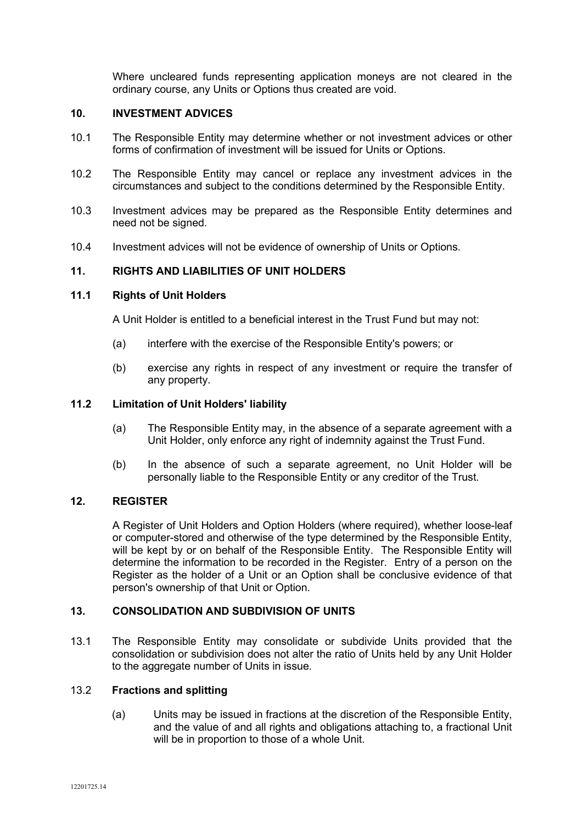Where uncleared funds representing application moneys are not cleared in the ordinary course, any Units or Options thus created are void.

## **10. INVESTMENT ADVICES**

- 10.1 The Responsible Entity may determine whether or not investment advices or other forms of confirmation of investment will be issued for Units or Options.
- 10.2 The Responsible Entity may cancel or replace any investment advices in the circumstances and subject to the conditions determined by the Responsible Entity.
- 10.3 Investment advices may be prepared as the Responsible Entity determines and need not be signed.
- 10.4 Investment advices will not be evidence of ownership of Units or Options.

#### **11. RIGHTS AND LIABILITIES OF UNIT HOLDERS**

### **11.1 Rights of Unit Holders**

A Unit Holder is entitled to a beneficial interest in the Trust Fund but may not:

- (a) interfere with the exercise of the Responsible Entity's powers; or
- (b) exercise any rights in respect of any investment or require the transfer of any property.

#### **11.2 Limitation of Unit Holders' liability**

- (a) The Responsible Entity may, in the absence of a separate agreement with a Unit Holder, only enforce any right of indemnity against the Trust Fund.
- (b) In the absence of such a separate agreement, no Unit Holder will be personally liable to the Responsible Entity or any creditor of the Trust.

## **12. REGISTER**

A Register of Unit Holders and Option Holders (where required), whether loose-leaf or computer-stored and otherwise of the type determined by the Responsible Entity, will be kept by or on behalf of the Responsible Entity. The Responsible Entity will determine the information to be recorded in the Register. Entry of a person on the Register as the holder of a Unit or an Option shall be conclusive evidence of that person's ownership of that Unit or Option.

## **13. CONSOLIDATION AND SUBDIVISION OF UNITS**

13.1 The Responsible Entity may consolidate or subdivide Units provided that the consolidation or subdivision does not alter the ratio of Units held by any Unit Holder to the aggregate number of Units in issue.

## 13.2 **Fractions and splitting**

(a) Units may be issued in fractions at the discretion of the Responsible Entity, and the value of and all rights and obligations attaching to, a fractional Unit will be in proportion to those of a whole Unit.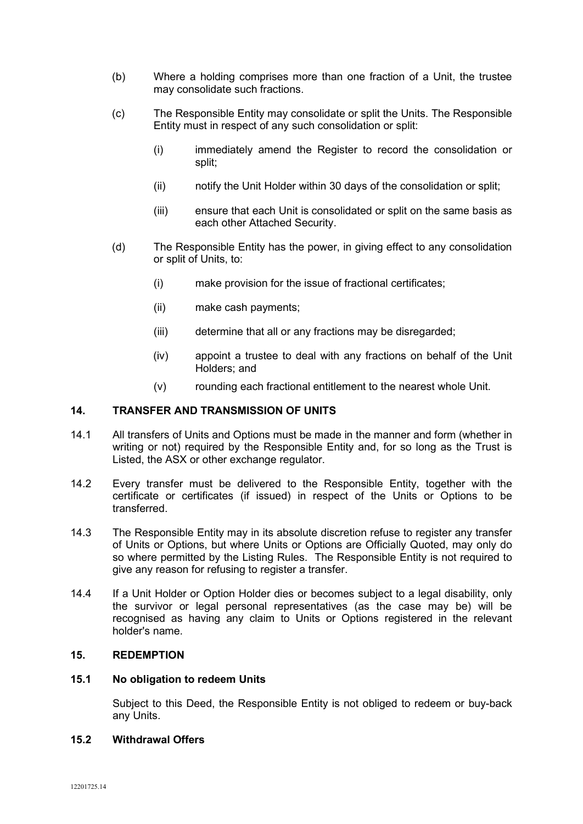- (b) Where a holding comprises more than one fraction of a Unit, the trustee may consolidate such fractions.
- (c) The Responsible Entity may consolidate or split the Units. The Responsible Entity must in respect of any such consolidation or split:
	- (i) immediately amend the Register to record the consolidation or split;
	- (ii) notify the Unit Holder within 30 days of the consolidation or split;
	- (iii) ensure that each Unit is consolidated or split on the same basis as each other Attached Security.
- (d) The Responsible Entity has the power, in giving effect to any consolidation or split of Units, to:
	- (i) make provision for the issue of fractional certificates;
	- (ii) make cash payments;
	- (iii) determine that all or any fractions may be disregarded;
	- (iv) appoint a trustee to deal with any fractions on behalf of the Unit Holders; and
	- (v) rounding each fractional entitlement to the nearest whole Unit.

### **14. TRANSFER AND TRANSMISSION OF UNITS**

- 14.1 All transfers of Units and Options must be made in the manner and form (whether in writing or not) required by the Responsible Entity and, for so long as the Trust is Listed, the ASX or other exchange regulator.
- 14.2 Every transfer must be delivered to the Responsible Entity, together with the certificate or certificates (if issued) in respect of the Units or Options to be transferred.
- 14.3 The Responsible Entity may in its absolute discretion refuse to register any transfer of Units or Options, but where Units or Options are Officially Quoted, may only do so where permitted by the Listing Rules. The Responsible Entity is not required to give any reason for refusing to register a transfer.
- 14.4 If a Unit Holder or Option Holder dies or becomes subject to a legal disability, only the survivor or legal personal representatives (as the case may be) will be recognised as having any claim to Units or Options registered in the relevant holder's name.

#### **15. REDEMPTION**

### **15.1 No obligation to redeem Units**

Subject to this Deed, the Responsible Entity is not obliged to redeem or buy-back any Units.

## **15.2 Withdrawal Offers**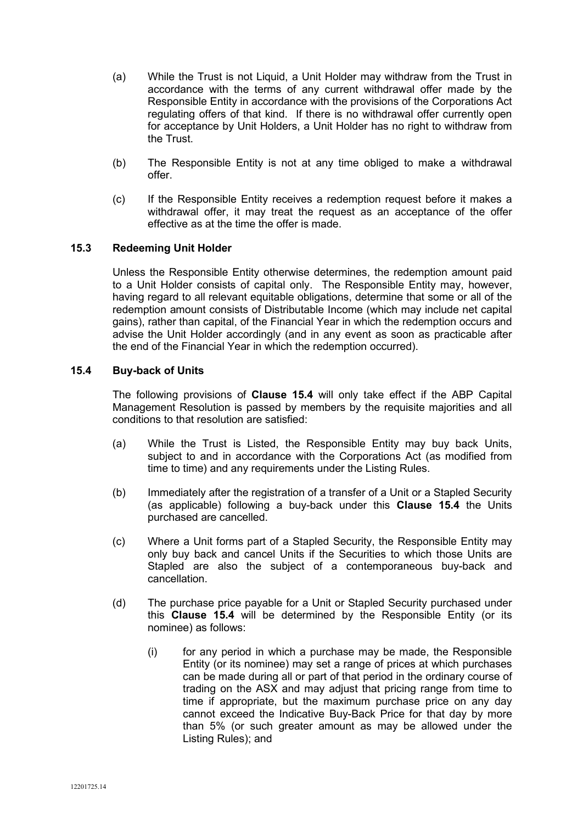- (a) While the Trust is not Liquid, a Unit Holder may withdraw from the Trust in accordance with the terms of any current withdrawal offer made by the Responsible Entity in accordance with the provisions of the Corporations Act regulating offers of that kind. If there is no withdrawal offer currently open for acceptance by Unit Holders, a Unit Holder has no right to withdraw from the Trust.
- (b) The Responsible Entity is not at any time obliged to make a withdrawal offer.
- (c) If the Responsible Entity receives a redemption request before it makes a withdrawal offer, it may treat the request as an acceptance of the offer effective as at the time the offer is made.

## **15.3 Redeeming Unit Holder**

Unless the Responsible Entity otherwise determines, the redemption amount paid to a Unit Holder consists of capital only. The Responsible Entity may, however, having regard to all relevant equitable obligations, determine that some or all of the redemption amount consists of Distributable Income (which may include net capital gains), rather than capital, of the Financial Year in which the redemption occurs and advise the Unit Holder accordingly (and in any event as soon as practicable after the end of the Financial Year in which the redemption occurred).

## **15.4 Buy-back of Units**

The following provisions of **Clause 15.4** will only take effect if the ABP Capital Management Resolution is passed by members by the requisite majorities and all conditions to that resolution are satisfied:

- (a) While the Trust is Listed, the Responsible Entity may buy back Units, subject to and in accordance with the Corporations Act (as modified from time to time) and any requirements under the Listing Rules.
- (b) Immediately after the registration of a transfer of a Unit or a Stapled Security (as applicable) following a buy-back under this **Clause 15.4** the Units purchased are cancelled.
- (c) Where a Unit forms part of a Stapled Security, the Responsible Entity may only buy back and cancel Units if the Securities to which those Units are Stapled are also the subject of a contemporaneous buy-back and cancellation.
- (d) The purchase price payable for a Unit or Stapled Security purchased under this **Clause 15.4** will be determined by the Responsible Entity (or its nominee) as follows:
	- (i) for any period in which a purchase may be made, the Responsible Entity (or its nominee) may set a range of prices at which purchases can be made during all or part of that period in the ordinary course of trading on the ASX and may adjust that pricing range from time to time if appropriate, but the maximum purchase price on any day cannot exceed the Indicative Buy-Back Price for that day by more than 5% (or such greater amount as may be allowed under the Listing Rules); and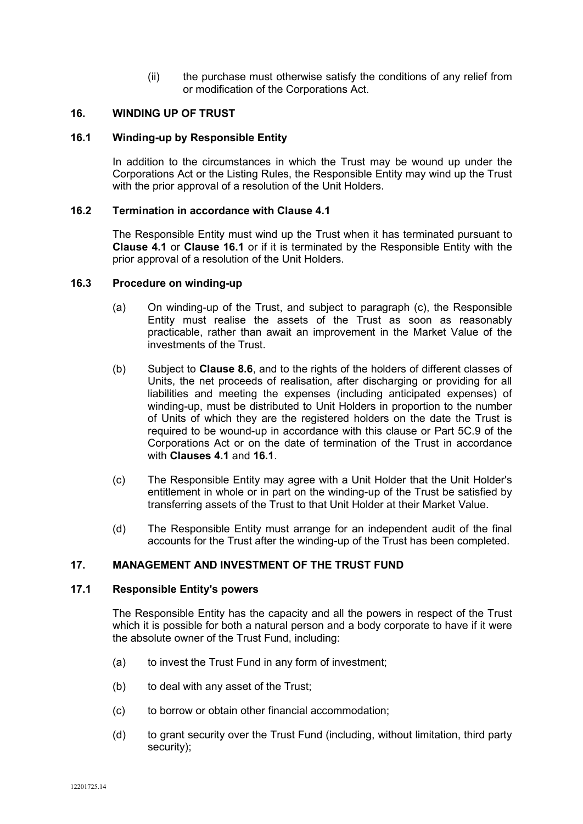(ii) the purchase must otherwise satisfy the conditions of any relief from or modification of the Corporations Act.

## **16. WINDING UP OF TRUST**

### **16.1 Winding-up by Responsible Entity**

In addition to the circumstances in which the Trust may be wound up under the Corporations Act or the Listing Rules, the Responsible Entity may wind up the Trust with the prior approval of a resolution of the Unit Holders.

## **16.2 Termination in accordance with Clause 4.1**

The Responsible Entity must wind up the Trust when it has terminated pursuant to **Clause 4.1** or **Clause 16.1** or if it is terminated by the Responsible Entity with the prior approval of a resolution of the Unit Holders.

#### **16.3 Procedure on winding-up**

- (a) On winding-up of the Trust, and subject to paragraph (c), the Responsible Entity must realise the assets of the Trust as soon as reasonably practicable, rather than await an improvement in the Market Value of the investments of the Trust.
- (b) Subject to **Clause 8.6**, and to the rights of the holders of different classes of Units, the net proceeds of realisation, after discharging or providing for all liabilities and meeting the expenses (including anticipated expenses) of winding-up, must be distributed to Unit Holders in proportion to the number of Units of which they are the registered holders on the date the Trust is required to be wound-up in accordance with this clause or Part 5C.9 of the Corporations Act or on the date of termination of the Trust in accordance with **Clauses 4.1** and **16.1**.
- (c) The Responsible Entity may agree with a Unit Holder that the Unit Holder's entitlement in whole or in part on the winding-up of the Trust be satisfied by transferring assets of the Trust to that Unit Holder at their Market Value.
- (d) The Responsible Entity must arrange for an independent audit of the final accounts for the Trust after the winding-up of the Trust has been completed.

## **17. MANAGEMENT AND INVESTMENT OF THE TRUST FUND**

#### **17.1 Responsible Entity's powers**

The Responsible Entity has the capacity and all the powers in respect of the Trust which it is possible for both a natural person and a body corporate to have if it were the absolute owner of the Trust Fund, including:

- (a) to invest the Trust Fund in any form of investment;
- (b) to deal with any asset of the Trust;
- (c) to borrow or obtain other financial accommodation;
- (d) to grant security over the Trust Fund (including, without limitation, third party security);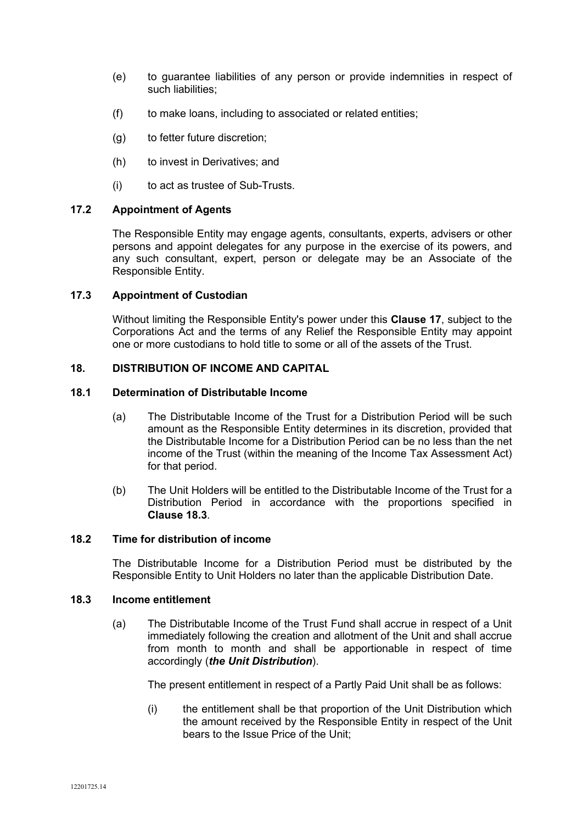- (e) to guarantee liabilities of any person or provide indemnities in respect of such liabilities;
- (f) to make loans, including to associated or related entities;
- (g) to fetter future discretion;
- (h) to invest in Derivatives; and
- (i) to act as trustee of Sub-Trusts.

## **17.2 Appointment of Agents**

The Responsible Entity may engage agents, consultants, experts, advisers or other persons and appoint delegates for any purpose in the exercise of its powers, and any such consultant, expert, person or delegate may be an Associate of the Responsible Entity.

## **17.3 Appointment of Custodian**

Without limiting the Responsible Entity's power under this **Clause 17**, subject to the Corporations Act and the terms of any Relief the Responsible Entity may appoint one or more custodians to hold title to some or all of the assets of the Trust.

## **18. DISTRIBUTION OF INCOME AND CAPITAL**

#### **18.1 Determination of Distributable Income**

- (a) The Distributable Income of the Trust for a Distribution Period will be such amount as the Responsible Entity determines in its discretion, provided that the Distributable Income for a Distribution Period can be no less than the net income of the Trust (within the meaning of the Income Tax Assessment Act) for that period.
- (b) The Unit Holders will be entitled to the Distributable Income of the Trust for a Distribution Period in accordance with the proportions specified in **Clause 18.3**.

#### **18.2 Time for distribution of income**

The Distributable Income for a Distribution Period must be distributed by the Responsible Entity to Unit Holders no later than the applicable Distribution Date.

#### **18.3 Income entitlement**

(a) The Distributable Income of the Trust Fund shall accrue in respect of a Unit immediately following the creation and allotment of the Unit and shall accrue from month to month and shall be apportionable in respect of time accordingly (*the Unit Distribution*).

The present entitlement in respect of a Partly Paid Unit shall be as follows:

(i) the entitlement shall be that proportion of the Unit Distribution which the amount received by the Responsible Entity in respect of the Unit bears to the Issue Price of the Unit;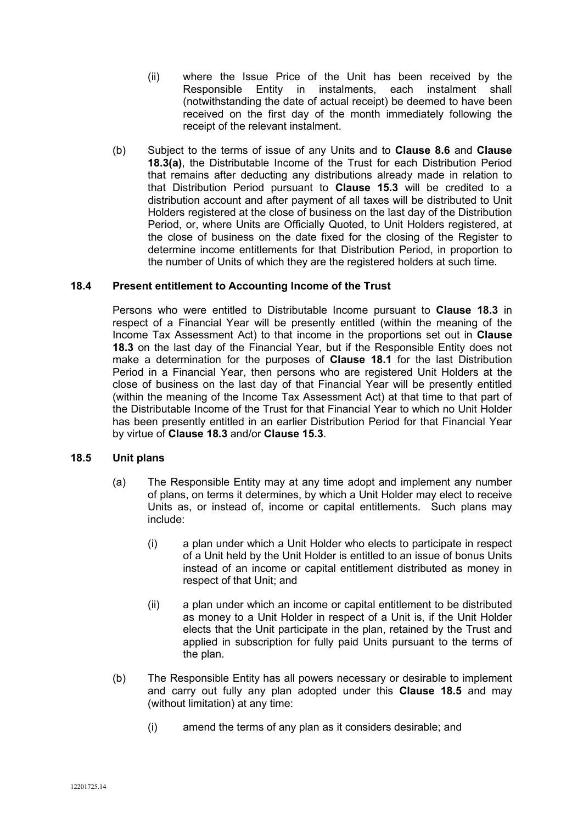- (ii) where the Issue Price of the Unit has been received by the Responsible Entity in instalments, each instalment shall (notwithstanding the date of actual receipt) be deemed to have been received on the first day of the month immediately following the receipt of the relevant instalment.
- (b) Subject to the terms of issue of any Units and to **Clause 8.6** and **Clause 18.3(a)**, the Distributable Income of the Trust for each Distribution Period that remains after deducting any distributions already made in relation to that Distribution Period pursuant to **Clause 15.3** will be credited to a distribution account and after payment of all taxes will be distributed to Unit Holders registered at the close of business on the last day of the Distribution Period, or, where Units are Officially Quoted, to Unit Holders registered, at the close of business on the date fixed for the closing of the Register to determine income entitlements for that Distribution Period, in proportion to the number of Units of which they are the registered holders at such time.

## **18.4 Present entitlement to Accounting Income of the Trust**

Persons who were entitled to Distributable Income pursuant to **Clause 18.3** in respect of a Financial Year will be presently entitled (within the meaning of the Income Tax Assessment Act) to that income in the proportions set out in **Clause 18.3** on the last day of the Financial Year, but if the Responsible Entity does not make a determination for the purposes of **Clause 18.1** for the last Distribution Period in a Financial Year, then persons who are registered Unit Holders at the close of business on the last day of that Financial Year will be presently entitled (within the meaning of the Income Tax Assessment Act) at that time to that part of the Distributable Income of the Trust for that Financial Year to which no Unit Holder has been presently entitled in an earlier Distribution Period for that Financial Year by virtue of **Clause 18.3** and/or **Clause 15.3**.

## **18.5 Unit plans**

- (a) The Responsible Entity may at any time adopt and implement any number of plans, on terms it determines, by which a Unit Holder may elect to receive Units as, or instead of, income or capital entitlements. Such plans may include:
	- (i) a plan under which a Unit Holder who elects to participate in respect of a Unit held by the Unit Holder is entitled to an issue of bonus Units instead of an income or capital entitlement distributed as money in respect of that Unit; and
	- (ii) a plan under which an income or capital entitlement to be distributed as money to a Unit Holder in respect of a Unit is, if the Unit Holder elects that the Unit participate in the plan, retained by the Trust and applied in subscription for fully paid Units pursuant to the terms of the plan.
- (b) The Responsible Entity has all powers necessary or desirable to implement and carry out fully any plan adopted under this **Clause 18.5** and may (without limitation) at any time:
	- (i) amend the terms of any plan as it considers desirable; and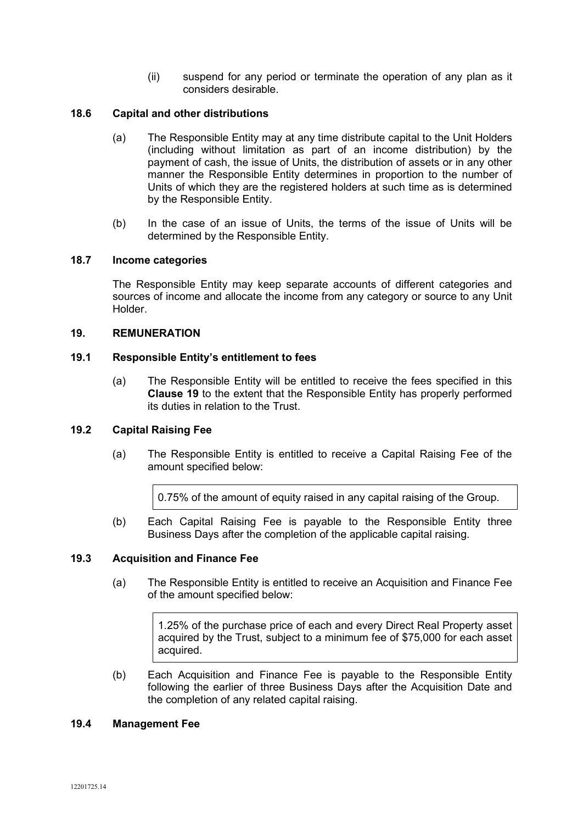(ii) suspend for any period or terminate the operation of any plan as it considers desirable.

## **18.6 Capital and other distributions**

- (a) The Responsible Entity may at any time distribute capital to the Unit Holders (including without limitation as part of an income distribution) by the payment of cash, the issue of Units, the distribution of assets or in any other manner the Responsible Entity determines in proportion to the number of Units of which they are the registered holders at such time as is determined by the Responsible Entity.
- (b) In the case of an issue of Units, the terms of the issue of Units will be determined by the Responsible Entity.

## **18.7 Income categories**

The Responsible Entity may keep separate accounts of different categories and sources of income and allocate the income from any category or source to any Unit Holder.

## **19. REMUNERATION**

## **19.1 Responsible Entity's entitlement to fees**

(a) The Responsible Entity will be entitled to receive the fees specified in this **Clause 19** to the extent that the Responsible Entity has properly performed its duties in relation to the Trust.

#### **19.2 Capital Raising Fee**

(a) The Responsible Entity is entitled to receive a Capital Raising Fee of the amount specified below:

0.75% of the amount of equity raised in any capital raising of the Group.

(b) Each Capital Raising Fee is payable to the Responsible Entity three Business Days after the completion of the applicable capital raising.

## **19.3 Acquisition and Finance Fee**

(a) The Responsible Entity is entitled to receive an Acquisition and Finance Fee of the amount specified below:

> 1.25% of the purchase price of each and every Direct Real Property asset acquired by the Trust, subject to a minimum fee of \$75,000 for each asset acquired.

(b) Each Acquisition and Finance Fee is payable to the Responsible Entity following the earlier of three Business Days after the Acquisition Date and the completion of any related capital raising.

## **19.4 Management Fee**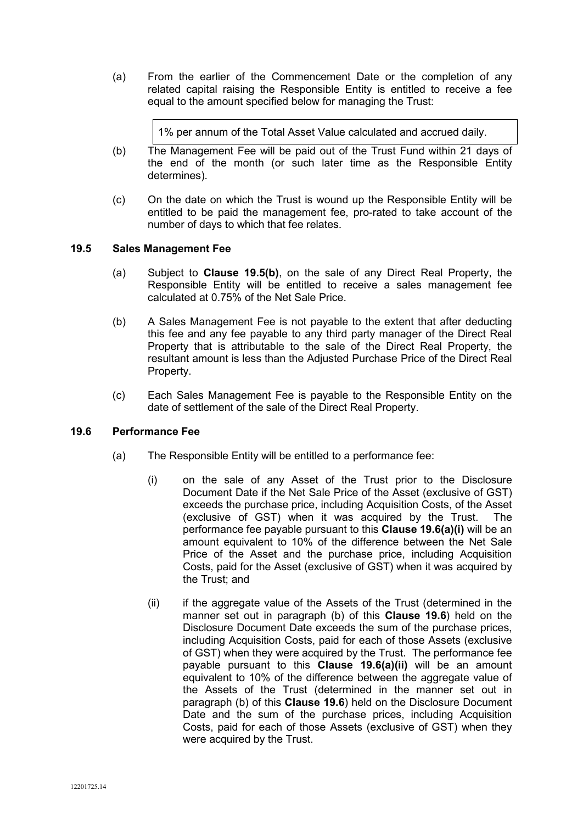(a) From the earlier of the Commencement Date or the completion of any related capital raising the Responsible Entity is entitled to receive a fee equal to the amount specified below for managing the Trust:

1% per annum of the Total Asset Value calculated and accrued daily.

- (b) The Management Fee will be paid out of the Trust Fund within 21 days of the end of the month (or such later time as the Responsible Entity determines).
- (c) On the date on which the Trust is wound up the Responsible Entity will be entitled to be paid the management fee, pro-rated to take account of the number of days to which that fee relates.

## **19.5 Sales Management Fee**

- (a) Subject to **Clause 19.5(b)**, on the sale of any Direct Real Property, the Responsible Entity will be entitled to receive a sales management fee calculated at 0.75% of the Net Sale Price.
- (b) A Sales Management Fee is not payable to the extent that after deducting this fee and any fee payable to any third party manager of the Direct Real Property that is attributable to the sale of the Direct Real Property, the resultant amount is less than the Adjusted Purchase Price of the Direct Real Property.
- (c) Each Sales Management Fee is payable to the Responsible Entity on the date of settlement of the sale of the Direct Real Property.

## **19.6 Performance Fee**

- (a) The Responsible Entity will be entitled to a performance fee:
	- (i) on the sale of any Asset of the Trust prior to the Disclosure Document Date if the Net Sale Price of the Asset (exclusive of GST) exceeds the purchase price, including Acquisition Costs, of the Asset (exclusive of GST) when it was acquired by the Trust. The performance fee payable pursuant to this **Clause 19.6(a)(i)** will be an amount equivalent to 10% of the difference between the Net Sale Price of the Asset and the purchase price, including Acquisition Costs, paid for the Asset (exclusive of GST) when it was acquired by the Trust; and
	- (ii) if the aggregate value of the Assets of the Trust (determined in the manner set out in paragraph (b) of this **Clause 19.6**) held on the Disclosure Document Date exceeds the sum of the purchase prices, including Acquisition Costs, paid for each of those Assets (exclusive of GST) when they were acquired by the Trust. The performance fee payable pursuant to this **Clause 19.6(a)(ii)** will be an amount equivalent to 10% of the difference between the aggregate value of the Assets of the Trust (determined in the manner set out in paragraph (b) of this **Clause 19.6**) held on the Disclosure Document Date and the sum of the purchase prices, including Acquisition Costs, paid for each of those Assets (exclusive of GST) when they were acquired by the Trust.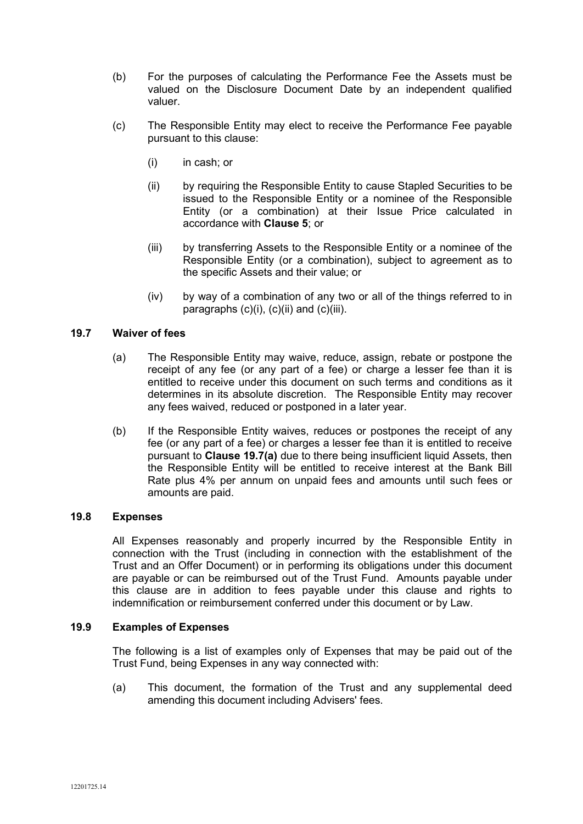- (b) For the purposes of calculating the Performance Fee the Assets must be valued on the Disclosure Document Date by an independent qualified valuer.
- (c) The Responsible Entity may elect to receive the Performance Fee payable pursuant to this clause:
	- (i) in cash; or
	- (ii) by requiring the Responsible Entity to cause Stapled Securities to be issued to the Responsible Entity or a nominee of the Responsible Entity (or a combination) at their Issue Price calculated in accordance with **Clause 5**; or
	- (iii) by transferring Assets to the Responsible Entity or a nominee of the Responsible Entity (or a combination), subject to agreement as to the specific Assets and their value; or
	- (iv) by way of a combination of any two or all of the things referred to in paragraphs (c)(i), (c)(ii) and (c)(iii).

## **19.7 Waiver of fees**

- (a) The Responsible Entity may waive, reduce, assign, rebate or postpone the receipt of any fee (or any part of a fee) or charge a lesser fee than it is entitled to receive under this document on such terms and conditions as it determines in its absolute discretion. The Responsible Entity may recover any fees waived, reduced or postponed in a later year.
- (b) If the Responsible Entity waives, reduces or postpones the receipt of any fee (or any part of a fee) or charges a lesser fee than it is entitled to receive pursuant to **Clause 19.7(a)** due to there being insufficient liquid Assets, then the Responsible Entity will be entitled to receive interest at the Bank Bill Rate plus 4% per annum on unpaid fees and amounts until such fees or amounts are paid.

## **19.8 Expenses**

All Expenses reasonably and properly incurred by the Responsible Entity in connection with the Trust (including in connection with the establishment of the Trust and an Offer Document) or in performing its obligations under this document are payable or can be reimbursed out of the Trust Fund. Amounts payable under this clause are in addition to fees payable under this clause and rights to indemnification or reimbursement conferred under this document or by Law.

## **19.9 Examples of Expenses**

The following is a list of examples only of Expenses that may be paid out of the Trust Fund, being Expenses in any way connected with:

(a) This document, the formation of the Trust and any supplemental deed amending this document including Advisers' fees.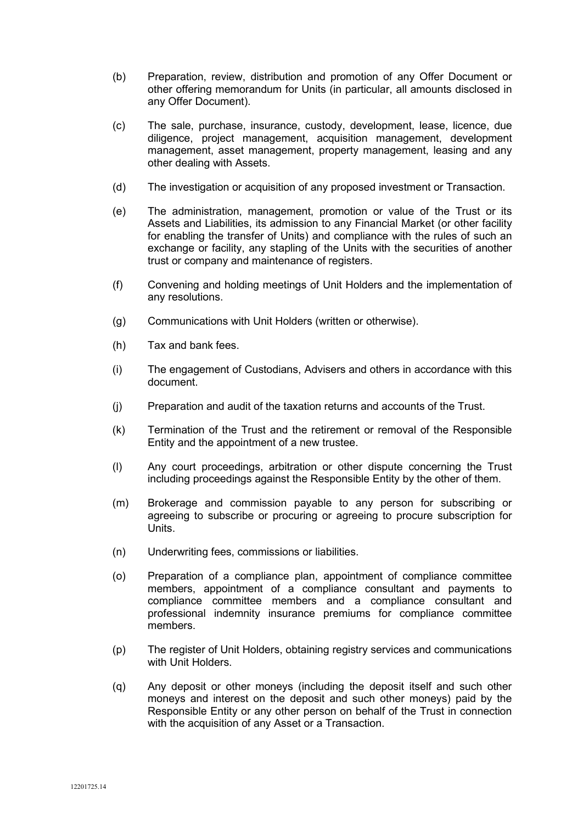- (b) Preparation, review, distribution and promotion of any Offer Document or other offering memorandum for Units (in particular, all amounts disclosed in any Offer Document).
- (c) The sale, purchase, insurance, custody, development, lease, licence, due diligence, project management, acquisition management, development management, asset management, property management, leasing and any other dealing with Assets.
- (d) The investigation or acquisition of any proposed investment or Transaction.
- (e) The administration, management, promotion or value of the Trust or its Assets and Liabilities, its admission to any Financial Market (or other facility for enabling the transfer of Units) and compliance with the rules of such an exchange or facility, any stapling of the Units with the securities of another trust or company and maintenance of registers.
- (f) Convening and holding meetings of Unit Holders and the implementation of any resolutions.
- (g) Communications with Unit Holders (written or otherwise).
- (h) Tax and bank fees.
- (i) The engagement of Custodians, Advisers and others in accordance with this document.
- (j) Preparation and audit of the taxation returns and accounts of the Trust.
- (k) Termination of the Trust and the retirement or removal of the Responsible Entity and the appointment of a new trustee.
- (l) Any court proceedings, arbitration or other dispute concerning the Trust including proceedings against the Responsible Entity by the other of them.
- (m) Brokerage and commission payable to any person for subscribing or agreeing to subscribe or procuring or agreeing to procure subscription for Units.
- (n) Underwriting fees, commissions or liabilities.
- (o) Preparation of a compliance plan, appointment of compliance committee members, appointment of a compliance consultant and payments to compliance committee members and a compliance consultant and professional indemnity insurance premiums for compliance committee members.
- (p) The register of Unit Holders, obtaining registry services and communications with Unit Holders.
- (q) Any deposit or other moneys (including the deposit itself and such other moneys and interest on the deposit and such other moneys) paid by the Responsible Entity or any other person on behalf of the Trust in connection with the acquisition of any Asset or a Transaction.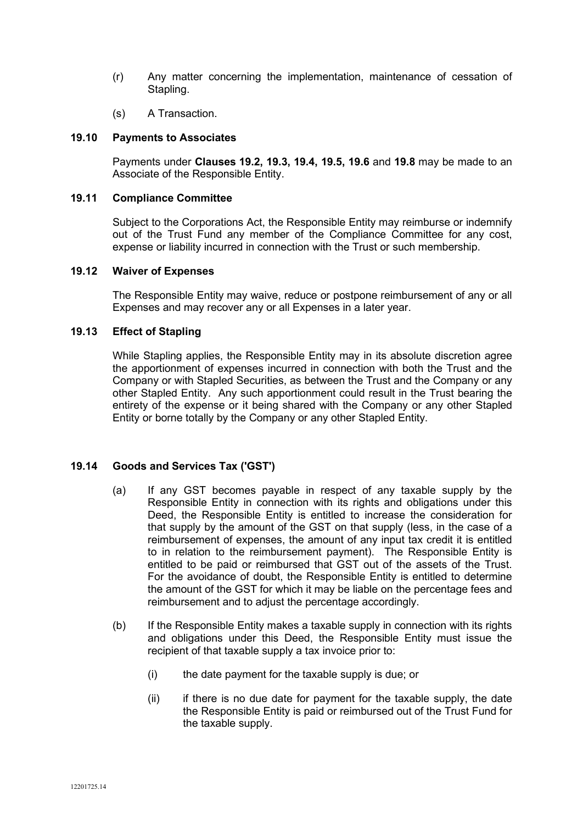- (r) Any matter concerning the implementation, maintenance of cessation of Stapling.
- (s) A Transaction.

### **19.10 Payments to Associates**

Payments under **Clauses 19.2, 19.3, 19.4, 19.5, 19.6** and **19.8** may be made to an Associate of the Responsible Entity.

## **19.11 Compliance Committee**

Subject to the Corporations Act, the Responsible Entity may reimburse or indemnify out of the Trust Fund any member of the Compliance Committee for any cost, expense or liability incurred in connection with the Trust or such membership.

#### **19.12 Waiver of Expenses**

The Responsible Entity may waive, reduce or postpone reimbursement of any or all Expenses and may recover any or all Expenses in a later year.

## **19.13 Effect of Stapling**

While Stapling applies, the Responsible Entity may in its absolute discretion agree the apportionment of expenses incurred in connection with both the Trust and the Company or with Stapled Securities, as between the Trust and the Company or any other Stapled Entity. Any such apportionment could result in the Trust bearing the entirety of the expense or it being shared with the Company or any other Stapled Entity or borne totally by the Company or any other Stapled Entity.

## **19.14 Goods and Services Tax ('GST')**

- (a) If any GST becomes payable in respect of any taxable supply by the Responsible Entity in connection with its rights and obligations under this Deed, the Responsible Entity is entitled to increase the consideration for that supply by the amount of the GST on that supply (less, in the case of a reimbursement of expenses, the amount of any input tax credit it is entitled to in relation to the reimbursement payment). The Responsible Entity is entitled to be paid or reimbursed that GST out of the assets of the Trust. For the avoidance of doubt, the Responsible Entity is entitled to determine the amount of the GST for which it may be liable on the percentage fees and reimbursement and to adjust the percentage accordingly.
- (b) If the Responsible Entity makes a taxable supply in connection with its rights and obligations under this Deed, the Responsible Entity must issue the recipient of that taxable supply a tax invoice prior to:
	- (i) the date payment for the taxable supply is due; or
	- (ii) if there is no due date for payment for the taxable supply, the date the Responsible Entity is paid or reimbursed out of the Trust Fund for the taxable supply.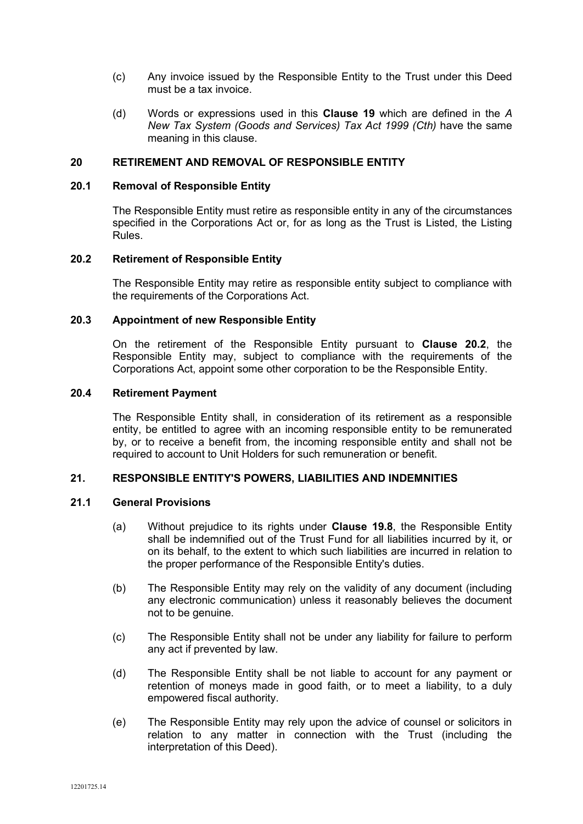- (c) Any invoice issued by the Responsible Entity to the Trust under this Deed must be a tax invoice.
- (d) Words or expressions used in this **Clause 19** which are defined in the *A New Tax System (Goods and Services) Tax Act 1999 (Cth)* have the same meaning in this clause.

### **20 RETIREMENT AND REMOVAL OF RESPONSIBLE ENTITY**

#### **20.1 Removal of Responsible Entity**

The Responsible Entity must retire as responsible entity in any of the circumstances specified in the Corporations Act or, for as long as the Trust is Listed, the Listing Rules.

## **20.2 Retirement of Responsible Entity**

The Responsible Entity may retire as responsible entity subject to compliance with the requirements of the Corporations Act.

## **20.3 Appointment of new Responsible Entity**

On the retirement of the Responsible Entity pursuant to **Clause 20.2**, the Responsible Entity may, subject to compliance with the requirements of the Corporations Act, appoint some other corporation to be the Responsible Entity.

### **20.4 Retirement Payment**

The Responsible Entity shall, in consideration of its retirement as a responsible entity, be entitled to agree with an incoming responsible entity to be remunerated by, or to receive a benefit from, the incoming responsible entity and shall not be required to account to Unit Holders for such remuneration or benefit.

## **21. RESPONSIBLE ENTITY'S POWERS, LIABILITIES AND INDEMNITIES**

#### **21.1 General Provisions**

- (a) Without prejudice to its rights under **Clause 19.8**, the Responsible Entity shall be indemnified out of the Trust Fund for all liabilities incurred by it, or on its behalf, to the extent to which such liabilities are incurred in relation to the proper performance of the Responsible Entity's duties.
- (b) The Responsible Entity may rely on the validity of any document (including any electronic communication) unless it reasonably believes the document not to be genuine.
- (c) The Responsible Entity shall not be under any liability for failure to perform any act if prevented by law.
- (d) The Responsible Entity shall be not liable to account for any payment or retention of moneys made in good faith, or to meet a liability, to a duly empowered fiscal authority.
- (e) The Responsible Entity may rely upon the advice of counsel or solicitors in relation to any matter in connection with the Trust (including the interpretation of this Deed).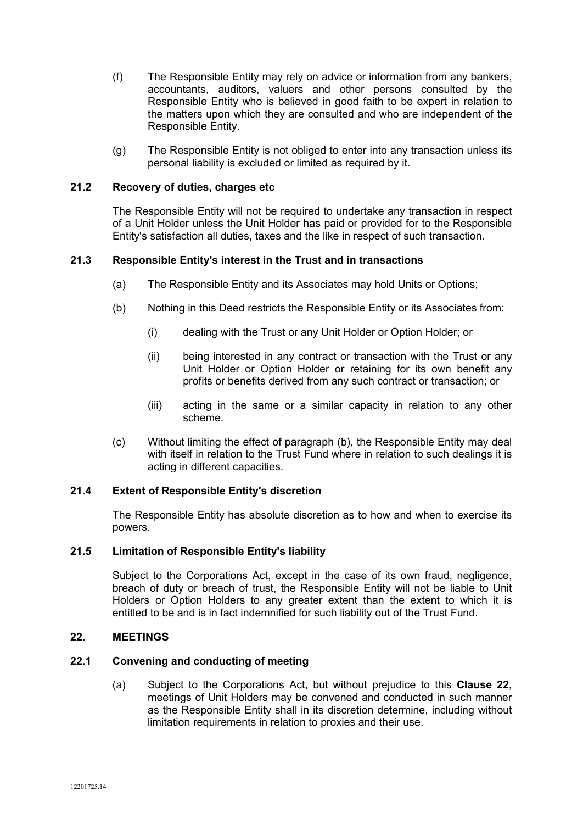- (f) The Responsible Entity may rely on advice or information from any bankers, accountants, auditors, valuers and other persons consulted by the Responsible Entity who is believed in good faith to be expert in relation to the matters upon which they are consulted and who are independent of the Responsible Entity.
- (g) The Responsible Entity is not obliged to enter into any transaction unless its personal liability is excluded or limited as required by it.

## **21.2 Recovery of duties, charges etc**

The Responsible Entity will not be required to undertake any transaction in respect of a Unit Holder unless the Unit Holder has paid or provided for to the Responsible Entity's satisfaction all duties, taxes and the like in respect of such transaction.

## **21.3 Responsible Entity's interest in the Trust and in transactions**

- (a) The Responsible Entity and its Associates may hold Units or Options;
- (b) Nothing in this Deed restricts the Responsible Entity or its Associates from:
	- (i) dealing with the Trust or any Unit Holder or Option Holder; or
	- (ii) being interested in any contract or transaction with the Trust or any Unit Holder or Option Holder or retaining for its own benefit any profits or benefits derived from any such contract or transaction; or
	- (iii) acting in the same or a similar capacity in relation to any other scheme.
- (c) Without limiting the effect of paragraph (b), the Responsible Entity may deal with itself in relation to the Trust Fund where in relation to such dealings it is acting in different capacities.

### **21.4 Extent of Responsible Entity's discretion**

The Responsible Entity has absolute discretion as to how and when to exercise its powers.

## **21.5 Limitation of Responsible Entity's liability**

Subject to the Corporations Act, except in the case of its own fraud, negligence, breach of duty or breach of trust, the Responsible Entity will not be liable to Unit Holders or Option Holders to any greater extent than the extent to which it is entitled to be and is in fact indemnified for such liability out of the Trust Fund.

### **22. MEETINGS**

## **22.1 Convening and conducting of meeting**

(a) Subject to the Corporations Act, but without prejudice to this **Clause 22**, meetings of Unit Holders may be convened and conducted in such manner as the Responsible Entity shall in its discretion determine, including without limitation requirements in relation to proxies and their use.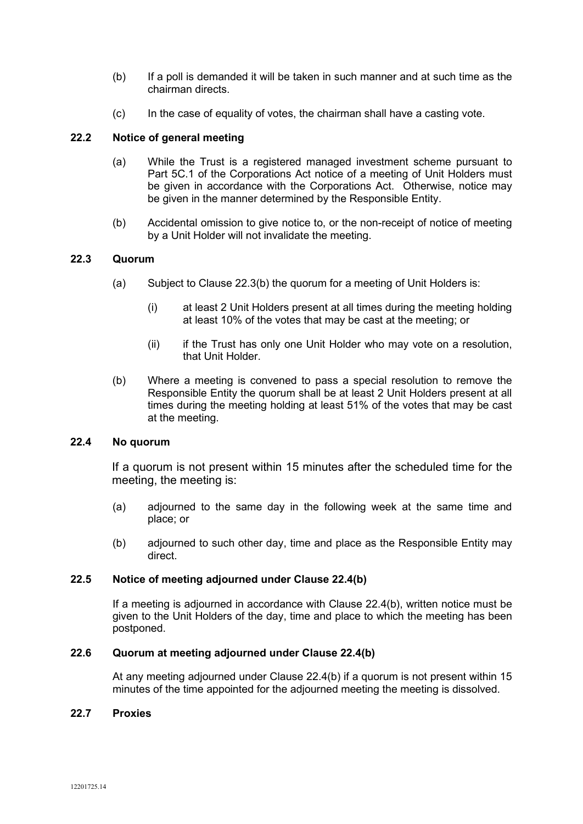- (b) If a poll is demanded it will be taken in such manner and at such time as the chairman directs.
- (c) In the case of equality of votes, the chairman shall have a casting vote.

# **22.2 Notice of general meeting**

- (a) While the Trust is a registered managed investment scheme pursuant to Part 5C.1 of the Corporations Act notice of a meeting of Unit Holders must be given in accordance with the Corporations Act. Otherwise, notice may be given in the manner determined by the Responsible Entity.
- (b) Accidental omission to give notice to, or the non-receipt of notice of meeting by a Unit Holder will not invalidate the meeting.

## **22.3 Quorum**

- (a) Subject to Clause 22.3(b) the quorum for a meeting of Unit Holders is:
	- (i) at least 2 Unit Holders present at all times during the meeting holding at least 10% of the votes that may be cast at the meeting; or
	- (ii) if the Trust has only one Unit Holder who may vote on a resolution, that Unit Holder.
- (b) Where a meeting is convened to pass a special resolution to remove the Responsible Entity the quorum shall be at least 2 Unit Holders present at all times during the meeting holding at least 51% of the votes that may be cast at the meeting.

## **22.4 No quorum**

If a quorum is not present within 15 minutes after the scheduled time for the meeting, the meeting is:

- (a) adjourned to the same day in the following week at the same time and place; or
- (b) adjourned to such other day, time and place as the Responsible Entity may direct.

#### **22.5 Notice of meeting adjourned under Clause 22.4(b)**

If a meeting is adjourned in accordance with Clause 22.4(b), written notice must be given to the Unit Holders of the day, time and place to which the meeting has been postponed.

## **22.6 Quorum at meeting adjourned under Clause 22.4(b)**

At any meeting adjourned under Clause 22.4(b) if a quorum is not present within 15 minutes of the time appointed for the adjourned meeting the meeting is dissolved.

#### **22.7 Proxies**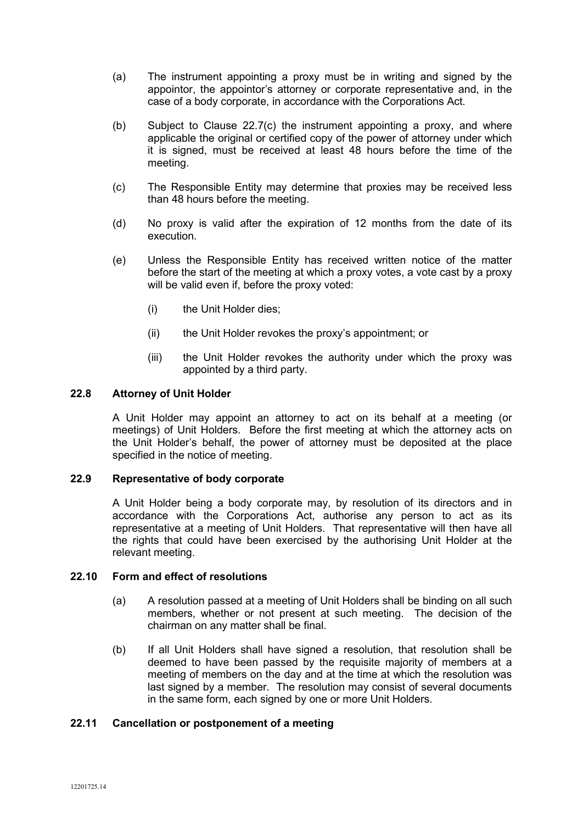- (a) The instrument appointing a proxy must be in writing and signed by the appointor, the appointor's attorney or corporate representative and, in the case of a body corporate, in accordance with the Corporations Act.
- (b) Subject to Clause 22.7(c) the instrument appointing a proxy, and where applicable the original or certified copy of the power of attorney under which it is signed, must be received at least 48 hours before the time of the meeting.
- (c) The Responsible Entity may determine that proxies may be received less than 48 hours before the meeting.
- (d) No proxy is valid after the expiration of 12 months from the date of its execution.
- (e) Unless the Responsible Entity has received written notice of the matter before the start of the meeting at which a proxy votes, a vote cast by a proxy will be valid even if, before the proxy voted:
	- (i) the Unit Holder dies;
	- (ii) the Unit Holder revokes the proxy's appointment; or
	- (iii) the Unit Holder revokes the authority under which the proxy was appointed by a third party.

## **22.8 Attorney of Unit Holder**

A Unit Holder may appoint an attorney to act on its behalf at a meeting (or meetings) of Unit Holders. Before the first meeting at which the attorney acts on the Unit Holder's behalf, the power of attorney must be deposited at the place specified in the notice of meeting.

## **22.9 Representative of body corporate**

A Unit Holder being a body corporate may, by resolution of its directors and in accordance with the Corporations Act, authorise any person to act as its representative at a meeting of Unit Holders. That representative will then have all the rights that could have been exercised by the authorising Unit Holder at the relevant meeting.

## **22.10 Form and effect of resolutions**

- (a) A resolution passed at a meeting of Unit Holders shall be binding on all such members, whether or not present at such meeting. The decision of the chairman on any matter shall be final.
- (b) If all Unit Holders shall have signed a resolution, that resolution shall be deemed to have been passed by the requisite majority of members at a meeting of members on the day and at the time at which the resolution was last signed by a member. The resolution may consist of several documents in the same form, each signed by one or more Unit Holders.

## **22.11 Cancellation or postponement of a meeting**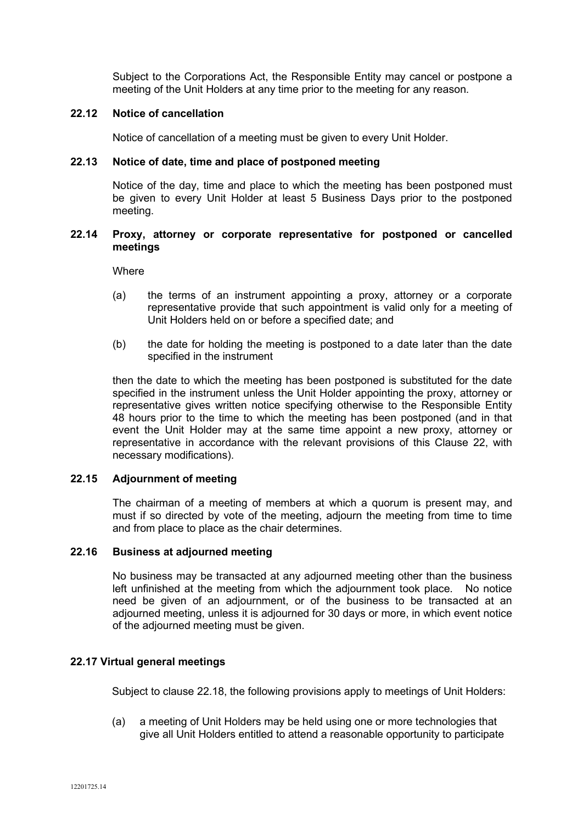Subject to the Corporations Act, the Responsible Entity may cancel or postpone a meeting of the Unit Holders at any time prior to the meeting for any reason.

## **22.12 Notice of cancellation**

Notice of cancellation of a meeting must be given to every Unit Holder.

## **22.13 Notice of date, time and place of postponed meeting**

Notice of the day, time and place to which the meeting has been postponed must be given to every Unit Holder at least 5 Business Days prior to the postponed meeting.

## **22.14 Proxy, attorney or corporate representative for postponed or cancelled meetings**

**Where** 

- (a) the terms of an instrument appointing a proxy, attorney or a corporate representative provide that such appointment is valid only for a meeting of Unit Holders held on or before a specified date; and
- (b) the date for holding the meeting is postponed to a date later than the date specified in the instrument

then the date to which the meeting has been postponed is substituted for the date specified in the instrument unless the Unit Holder appointing the proxy, attorney or representative gives written notice specifying otherwise to the Responsible Entity 48 hours prior to the time to which the meeting has been postponed (and in that event the Unit Holder may at the same time appoint a new proxy, attorney or representative in accordance with the relevant provisions of this Clause 22, with necessary modifications).

## **22.15 Adjournment of meeting**

The chairman of a meeting of members at which a quorum is present may, and must if so directed by vote of the meeting, adjourn the meeting from time to time and from place to place as the chair determines.

#### **22.16 Business at adjourned meeting**

No business may be transacted at any adjourned meeting other than the business left unfinished at the meeting from which the adjournment took place. No notice need be given of an adjournment, or of the business to be transacted at an adjourned meeting, unless it is adjourned for 30 days or more, in which event notice of the adjourned meeting must be given.

#### **22.17 Virtual general meetings**

Subject to clause 22.18, the following provisions apply to meetings of Unit Holders:

(a) a meeting of Unit Holders may be held using one or more technologies that give all Unit Holders entitled to attend a reasonable opportunity to participate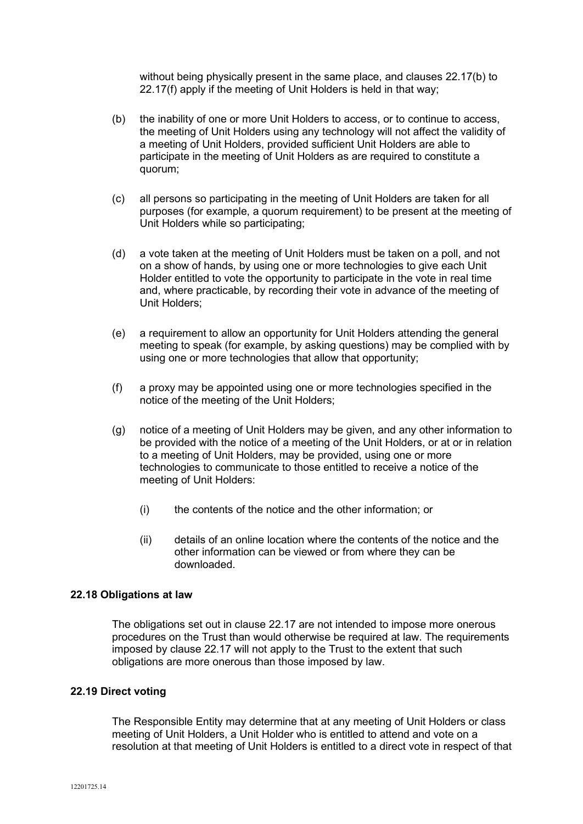without being physically present in the same place, and clauses 22.17(b) to 22.17(f) apply if the meeting of Unit Holders is held in that way;

- (b) the inability of one or more Unit Holders to access, or to continue to access, the meeting of Unit Holders using any technology will not affect the validity of a meeting of Unit Holders, provided sufficient Unit Holders are able to participate in the meeting of Unit Holders as are required to constitute a quorum;
- (c) all persons so participating in the meeting of Unit Holders are taken for all purposes (for example, a quorum requirement) to be present at the meeting of Unit Holders while so participating;
- (d) a vote taken at the meeting of Unit Holders must be taken on a poll, and not on a show of hands, by using one or more technologies to give each Unit Holder entitled to vote the opportunity to participate in the vote in real time and, where practicable, by recording their vote in advance of the meeting of Unit Holders;
- (e) a requirement to allow an opportunity for Unit Holders attending the general meeting to speak (for example, by asking questions) may be complied with by using one or more technologies that allow that opportunity;
- (f) a proxy may be appointed using one or more technologies specified in the notice of the meeting of the Unit Holders;
- (g) notice of a meeting of Unit Holders may be given, and any other information to be provided with the notice of a meeting of the Unit Holders, or at or in relation to a meeting of Unit Holders, may be provided, using one or more technologies to communicate to those entitled to receive a notice of the meeting of Unit Holders:
	- (i) the contents of the notice and the other information; or
	- (ii) details of an online location where the contents of the notice and the other information can be viewed or from where they can be downloaded.

## **22.18 Obligations at law**

The obligations set out in clause 22.17 are not intended to impose more onerous procedures on the Trust than would otherwise be required at law. The requirements imposed by clause 22.17 will not apply to the Trust to the extent that such obligations are more onerous than those imposed by law.

#### **22.19 Direct voting**

The Responsible Entity may determine that at any meeting of Unit Holders or class meeting of Unit Holders, a Unit Holder who is entitled to attend and vote on a resolution at that meeting of Unit Holders is entitled to a direct vote in respect of that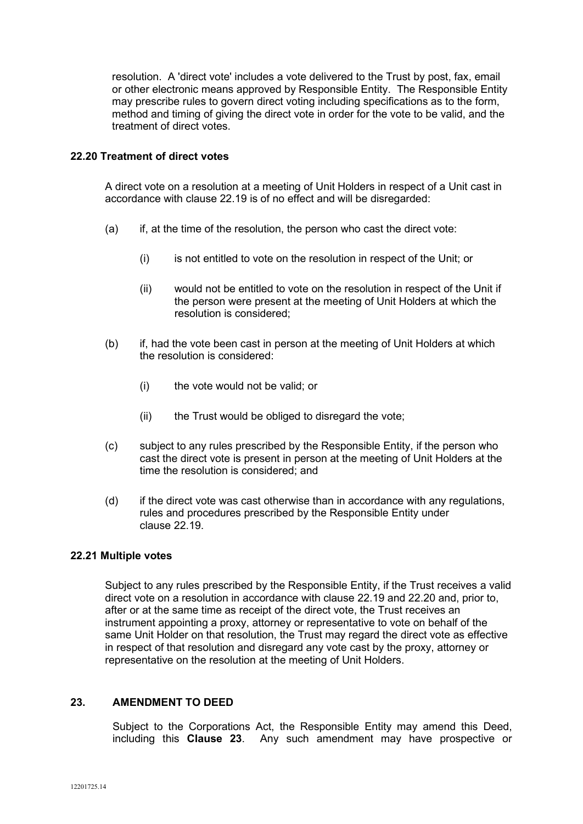resolution. A 'direct vote' includes a vote delivered to the Trust by post, fax, email or other electronic means approved by Responsible Entity. The Responsible Entity may prescribe rules to govern direct voting including specifications as to the form, method and timing of giving the direct vote in order for the vote to be valid, and the treatment of direct votes.

### **22.20 Treatment of direct votes**

A direct vote on a resolution at a meeting of Unit Holders in respect of a Unit cast in accordance with clause 22.19 is of no effect and will be disregarded:

- (a) if, at the time of the resolution, the person who cast the direct vote:
	- (i) is not entitled to vote on the resolution in respect of the Unit; or
	- (ii) would not be entitled to vote on the resolution in respect of the Unit if the person were present at the meeting of Unit Holders at which the resolution is considered;
- (b) if, had the vote been cast in person at the meeting of Unit Holders at which the resolution is considered:
	- (i) the vote would not be valid; or
	- (ii) the Trust would be obliged to disregard the vote;
- (c) subject to any rules prescribed by the Responsible Entity, if the person who cast the direct vote is present in person at the meeting of Unit Holders at the time the resolution is considered; and
- (d) if the direct vote was cast otherwise than in accordance with any regulations, rules and procedures prescribed by the Responsible Entity under clause 22.19.

#### **22.21 Multiple votes**

Subject to any rules prescribed by the Responsible Entity, if the Trust receives a valid direct vote on a resolution in accordance with clause 22.19 and 22.20 and, prior to, after or at the same time as receipt of the direct vote, the Trust receives an instrument appointing a proxy, attorney or representative to vote on behalf of the same Unit Holder on that resolution, the Trust may regard the direct vote as effective in respect of that resolution and disregard any vote cast by the proxy, attorney or representative on the resolution at the meeting of Unit Holders.

## **23. AMENDMENT TO DEED**

Subject to the Corporations Act, the Responsible Entity may amend this Deed, including this **Clause 23**. Any such amendment may have prospective or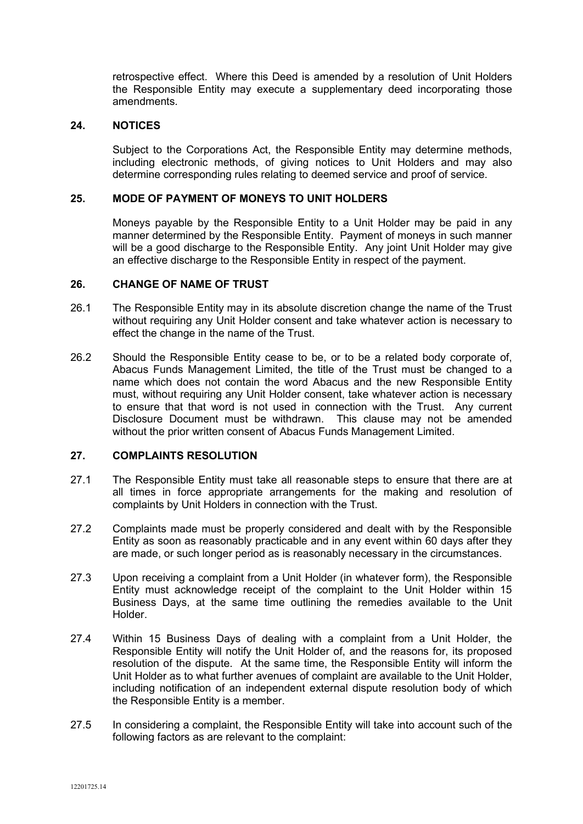retrospective effect. Where this Deed is amended by a resolution of Unit Holders the Responsible Entity may execute a supplementary deed incorporating those amendments.

## **24. NOTICES**

Subject to the Corporations Act, the Responsible Entity may determine methods, including electronic methods, of giving notices to Unit Holders and may also determine corresponding rules relating to deemed service and proof of service.

## **25. MODE OF PAYMENT OF MONEYS TO UNIT HOLDERS**

Moneys payable by the Responsible Entity to a Unit Holder may be paid in any manner determined by the Responsible Entity. Payment of moneys in such manner will be a good discharge to the Responsible Entity. Any joint Unit Holder may give an effective discharge to the Responsible Entity in respect of the payment.

### **26. CHANGE OF NAME OF TRUST**

- 26.1 The Responsible Entity may in its absolute discretion change the name of the Trust without requiring any Unit Holder consent and take whatever action is necessary to effect the change in the name of the Trust.
- 26.2 Should the Responsible Entity cease to be, or to be a related body corporate of, Abacus Funds Management Limited, the title of the Trust must be changed to a name which does not contain the word Abacus and the new Responsible Entity must, without requiring any Unit Holder consent, take whatever action is necessary to ensure that that word is not used in connection with the Trust. Any current Disclosure Document must be withdrawn. This clause may not be amended without the prior written consent of Abacus Funds Management Limited.

#### **27. COMPLAINTS RESOLUTION**

- 27.1 The Responsible Entity must take all reasonable steps to ensure that there are at all times in force appropriate arrangements for the making and resolution of complaints by Unit Holders in connection with the Trust.
- 27.2 Complaints made must be properly considered and dealt with by the Responsible Entity as soon as reasonably practicable and in any event within 60 days after they are made, or such longer period as is reasonably necessary in the circumstances.
- 27.3 Upon receiving a complaint from a Unit Holder (in whatever form), the Responsible Entity must acknowledge receipt of the complaint to the Unit Holder within 15 Business Days, at the same time outlining the remedies available to the Unit Holder.
- 27.4 Within 15 Business Days of dealing with a complaint from a Unit Holder, the Responsible Entity will notify the Unit Holder of, and the reasons for, its proposed resolution of the dispute. At the same time, the Responsible Entity will inform the Unit Holder as to what further avenues of complaint are available to the Unit Holder, including notification of an independent external dispute resolution body of which the Responsible Entity is a member.
- 27.5 In considering a complaint, the Responsible Entity will take into account such of the following factors as are relevant to the complaint: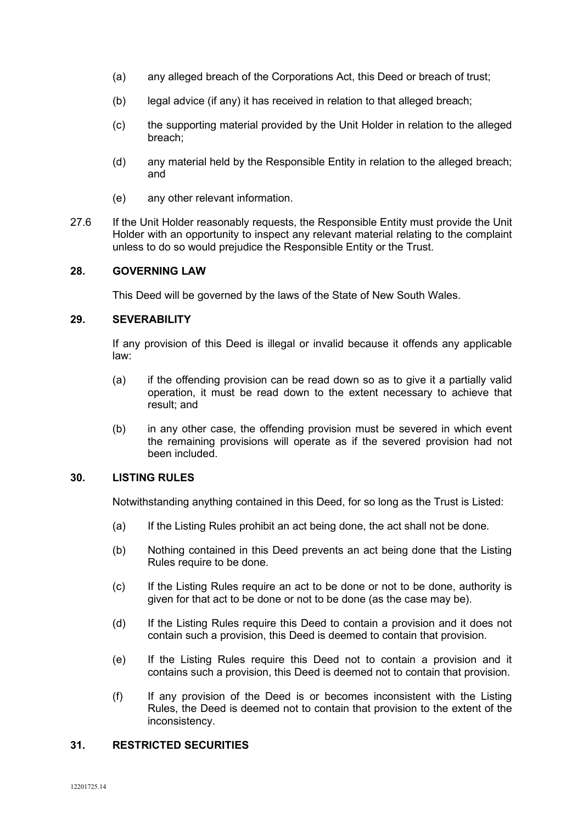- (a) any alleged breach of the Corporations Act, this Deed or breach of trust;
- (b) legal advice (if any) it has received in relation to that alleged breach;
- (c) the supporting material provided by the Unit Holder in relation to the alleged breach;
- (d) any material held by the Responsible Entity in relation to the alleged breach; and
- (e) any other relevant information.
- 27.6 If the Unit Holder reasonably requests, the Responsible Entity must provide the Unit Holder with an opportunity to inspect any relevant material relating to the complaint unless to do so would prejudice the Responsible Entity or the Trust.

#### **28. GOVERNING LAW**

This Deed will be governed by the laws of the State of New South Wales.

### **29. SEVERABILITY**

If any provision of this Deed is illegal or invalid because it offends any applicable law:

- (a) if the offending provision can be read down so as to give it a partially valid operation, it must be read down to the extent necessary to achieve that result; and
- (b) in any other case, the offending provision must be severed in which event the remaining provisions will operate as if the severed provision had not been included.

# **30. LISTING RULES**

Notwithstanding anything contained in this Deed, for so long as the Trust is Listed:

- (a) If the Listing Rules prohibit an act being done, the act shall not be done.
- (b) Nothing contained in this Deed prevents an act being done that the Listing Rules require to be done.
- (c) If the Listing Rules require an act to be done or not to be done, authority is given for that act to be done or not to be done (as the case may be).
- (d) If the Listing Rules require this Deed to contain a provision and it does not contain such a provision, this Deed is deemed to contain that provision.
- (e) If the Listing Rules require this Deed not to contain a provision and it contains such a provision, this Deed is deemed not to contain that provision.
- (f) If any provision of the Deed is or becomes inconsistent with the Listing Rules, the Deed is deemed not to contain that provision to the extent of the inconsistency.

## **31. RESTRICTED SECURITIES**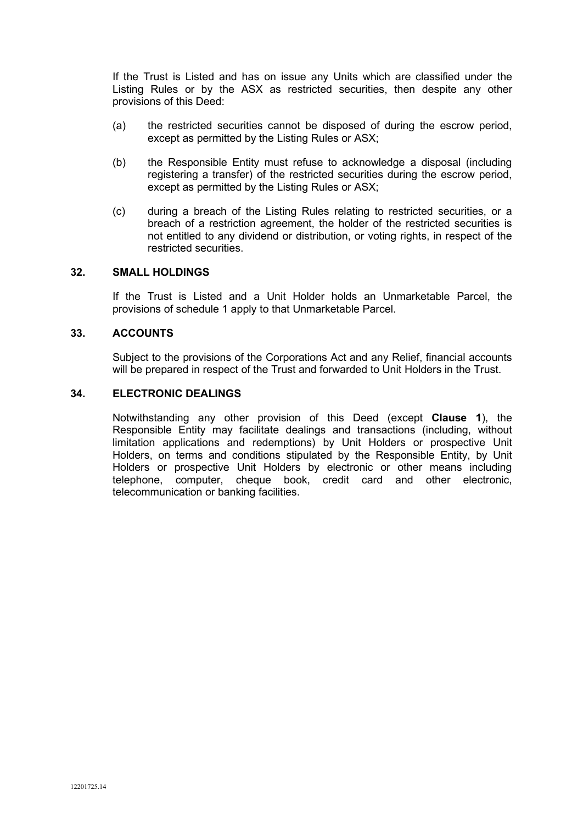If the Trust is Listed and has on issue any Units which are classified under the Listing Rules or by the ASX as restricted securities, then despite any other provisions of this Deed:

- (a) the restricted securities cannot be disposed of during the escrow period, except as permitted by the Listing Rules or ASX;
- (b) the Responsible Entity must refuse to acknowledge a disposal (including registering a transfer) of the restricted securities during the escrow period, except as permitted by the Listing Rules or ASX;
- (c) during a breach of the Listing Rules relating to restricted securities, or a breach of a restriction agreement, the holder of the restricted securities is not entitled to any dividend or distribution, or voting rights, in respect of the restricted securities.

## **32. SMALL HOLDINGS**

If the Trust is Listed and a Unit Holder holds an Unmarketable Parcel, the provisions of schedule 1 apply to that Unmarketable Parcel.

## **33. ACCOUNTS**

Subject to the provisions of the Corporations Act and any Relief, financial accounts will be prepared in respect of the Trust and forwarded to Unit Holders in the Trust.

## **34. ELECTRONIC DEALINGS**

Notwithstanding any other provision of this Deed (except **Clause 1**), the Responsible Entity may facilitate dealings and transactions (including, without limitation applications and redemptions) by Unit Holders or prospective Unit Holders, on terms and conditions stipulated by the Responsible Entity, by Unit Holders or prospective Unit Holders by electronic or other means including telephone, computer, cheque book, credit card and other electronic, telecommunication or banking facilities.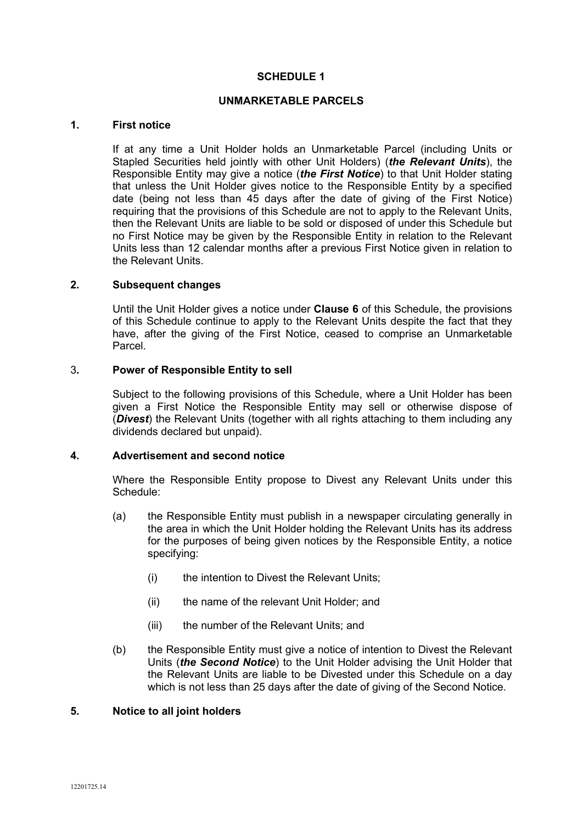## **SCHEDULE 1**

### **UNMARKETABLE PARCELS**

### **1. First notice**

If at any time a Unit Holder holds an Unmarketable Parcel (including Units or Stapled Securities held jointly with other Unit Holders) (*the Relevant Units*), the Responsible Entity may give a notice (*the First Notice*) to that Unit Holder stating that unless the Unit Holder gives notice to the Responsible Entity by a specified date (being not less than 45 days after the date of giving of the First Notice) requiring that the provisions of this Schedule are not to apply to the Relevant Units, then the Relevant Units are liable to be sold or disposed of under this Schedule but no First Notice may be given by the Responsible Entity in relation to the Relevant Units less than 12 calendar months after a previous First Notice given in relation to the Relevant Units.

## **2. Subsequent changes**

Until the Unit Holder gives a notice under **Clause 6** of this Schedule, the provisions of this Schedule continue to apply to the Relevant Units despite the fact that they have, after the giving of the First Notice, ceased to comprise an Unmarketable Parcel.

## 3**. Power of Responsible Entity to sell**

Subject to the following provisions of this Schedule, where a Unit Holder has been given a First Notice the Responsible Entity may sell or otherwise dispose of (*Divest*) the Relevant Units (together with all rights attaching to them including any dividends declared but unpaid).

### **4. Advertisement and second notice**

Where the Responsible Entity propose to Divest any Relevant Units under this Schedule:

- (a) the Responsible Entity must publish in a newspaper circulating generally in the area in which the Unit Holder holding the Relevant Units has its address for the purposes of being given notices by the Responsible Entity, a notice specifying:
	- (i) the intention to Divest the Relevant Units;
	- (ii) the name of the relevant Unit Holder; and
	- (iii) the number of the Relevant Units; and
- (b) the Responsible Entity must give a notice of intention to Divest the Relevant Units (*the Second Notice*) to the Unit Holder advising the Unit Holder that the Relevant Units are liable to be Divested under this Schedule on a day which is not less than 25 days after the date of giving of the Second Notice.

### **5. Notice to all joint holders**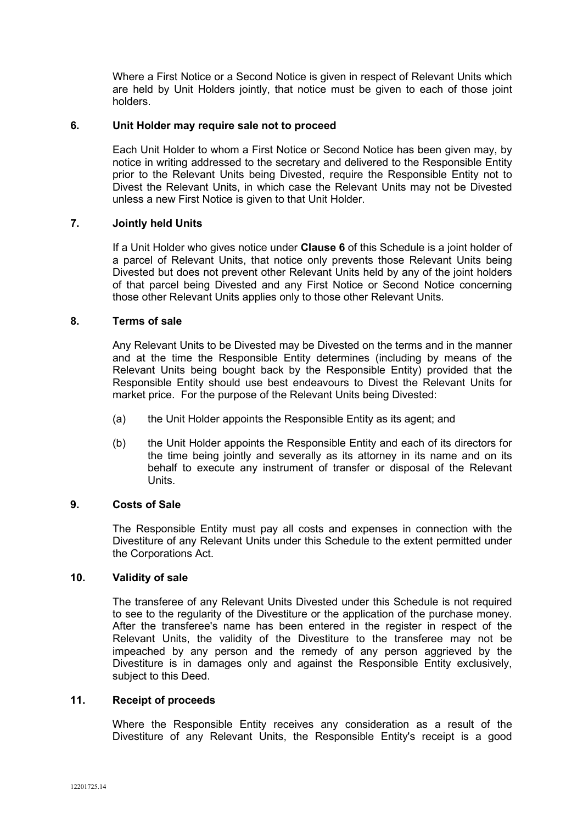Where a First Notice or a Second Notice is given in respect of Relevant Units which are held by Unit Holders jointly, that notice must be given to each of those joint holders.

## **6. Unit Holder may require sale not to proceed**

Each Unit Holder to whom a First Notice or Second Notice has been given may, by notice in writing addressed to the secretary and delivered to the Responsible Entity prior to the Relevant Units being Divested, require the Responsible Entity not to Divest the Relevant Units, in which case the Relevant Units may not be Divested unless a new First Notice is given to that Unit Holder.

## **7. Jointly held Units**

If a Unit Holder who gives notice under **Clause 6** of this Schedule is a joint holder of a parcel of Relevant Units, that notice only prevents those Relevant Units being Divested but does not prevent other Relevant Units held by any of the joint holders of that parcel being Divested and any First Notice or Second Notice concerning those other Relevant Units applies only to those other Relevant Units.

## **8. Terms of sale**

Any Relevant Units to be Divested may be Divested on the terms and in the manner and at the time the Responsible Entity determines (including by means of the Relevant Units being bought back by the Responsible Entity) provided that the Responsible Entity should use best endeavours to Divest the Relevant Units for market price. For the purpose of the Relevant Units being Divested:

- (a) the Unit Holder appoints the Responsible Entity as its agent; and
- (b) the Unit Holder appoints the Responsible Entity and each of its directors for the time being jointly and severally as its attorney in its name and on its behalf to execute any instrument of transfer or disposal of the Relevant Units.

### **9. Costs of Sale**

The Responsible Entity must pay all costs and expenses in connection with the Divestiture of any Relevant Units under this Schedule to the extent permitted under the Corporations Act.

#### **10. Validity of sale**

The transferee of any Relevant Units Divested under this Schedule is not required to see to the regularity of the Divestiture or the application of the purchase money. After the transferee's name has been entered in the register in respect of the Relevant Units, the validity of the Divestiture to the transferee may not be impeached by any person and the remedy of any person aggrieved by the Divestiture is in damages only and against the Responsible Entity exclusively, subject to this Deed.

#### **11. Receipt of proceeds**

Where the Responsible Entity receives any consideration as a result of the Divestiture of any Relevant Units, the Responsible Entity's receipt is a good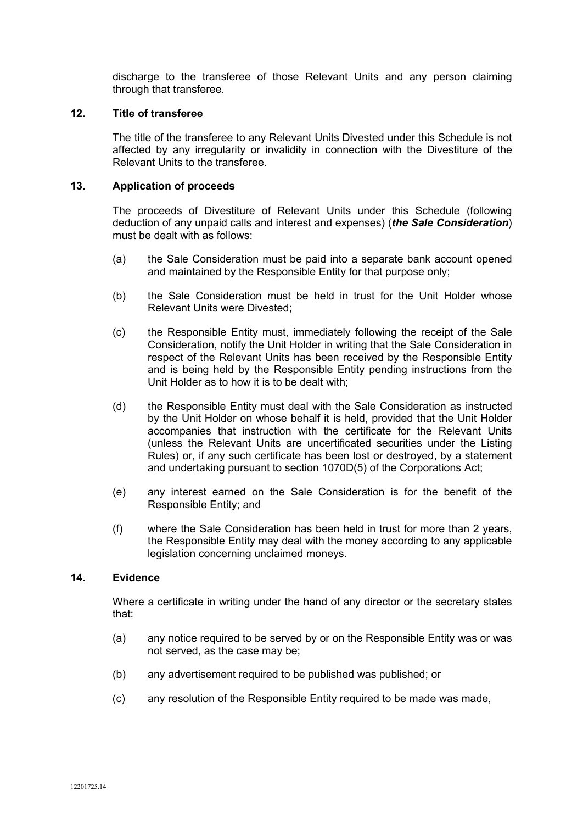discharge to the transferee of those Relevant Units and any person claiming through that transferee.

### **12. Title of transferee**

The title of the transferee to any Relevant Units Divested under this Schedule is not affected by any irregularity or invalidity in connection with the Divestiture of the Relevant Units to the transferee.

#### **13. Application of proceeds**

The proceeds of Divestiture of Relevant Units under this Schedule (following deduction of any unpaid calls and interest and expenses) (*the Sale Consideration*) must be dealt with as follows:

- (a) the Sale Consideration must be paid into a separate bank account opened and maintained by the Responsible Entity for that purpose only;
- (b) the Sale Consideration must be held in trust for the Unit Holder whose Relevant Units were Divested;
- (c) the Responsible Entity must, immediately following the receipt of the Sale Consideration, notify the Unit Holder in writing that the Sale Consideration in respect of the Relevant Units has been received by the Responsible Entity and is being held by the Responsible Entity pending instructions from the Unit Holder as to how it is to be dealt with;
- (d) the Responsible Entity must deal with the Sale Consideration as instructed by the Unit Holder on whose behalf it is held, provided that the Unit Holder accompanies that instruction with the certificate for the Relevant Units (unless the Relevant Units are uncertificated securities under the Listing Rules) or, if any such certificate has been lost or destroyed, by a statement and undertaking pursuant to section 1070D(5) of the Corporations Act;
- (e) any interest earned on the Sale Consideration is for the benefit of the Responsible Entity; and
- (f) where the Sale Consideration has been held in trust for more than 2 years, the Responsible Entity may deal with the money according to any applicable legislation concerning unclaimed moneys.

### **14. Evidence**

Where a certificate in writing under the hand of any director or the secretary states that:

- (a) any notice required to be served by or on the Responsible Entity was or was not served, as the case may be;
- (b) any advertisement required to be published was published; or
- (c) any resolution of the Responsible Entity required to be made was made,